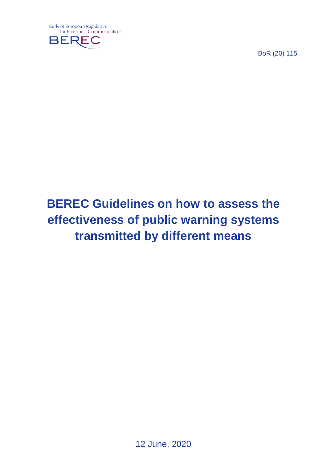

BoR (20) 115

# **BEREC Guidelines on how to assess the effectiveness of public warning systems transmitted by different means**

12 June, 2020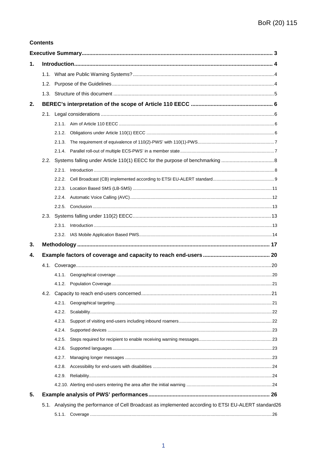#### **Contents**

| 1. |  |                                                                                                                                                                                                                                                                                                                                                                                                                                                                             |  |  |  |  |  |
|----|--|-----------------------------------------------------------------------------------------------------------------------------------------------------------------------------------------------------------------------------------------------------------------------------------------------------------------------------------------------------------------------------------------------------------------------------------------------------------------------------|--|--|--|--|--|
|    |  |                                                                                                                                                                                                                                                                                                                                                                                                                                                                             |  |  |  |  |  |
|    |  |                                                                                                                                                                                                                                                                                                                                                                                                                                                                             |  |  |  |  |  |
|    |  |                                                                                                                                                                                                                                                                                                                                                                                                                                                                             |  |  |  |  |  |
| 2. |  |                                                                                                                                                                                                                                                                                                                                                                                                                                                                             |  |  |  |  |  |
|    |  |                                                                                                                                                                                                                                                                                                                                                                                                                                                                             |  |  |  |  |  |
|    |  |                                                                                                                                                                                                                                                                                                                                                                                                                                                                             |  |  |  |  |  |
|    |  | 2.1.2.                                                                                                                                                                                                                                                                                                                                                                                                                                                                      |  |  |  |  |  |
|    |  |                                                                                                                                                                                                                                                                                                                                                                                                                                                                             |  |  |  |  |  |
|    |  |                                                                                                                                                                                                                                                                                                                                                                                                                                                                             |  |  |  |  |  |
|    |  |                                                                                                                                                                                                                                                                                                                                                                                                                                                                             |  |  |  |  |  |
|    |  | $\label{eq:1} \text{Introduction} \,\, \ldots \,\, \ldots \,\, \ldots \,\, \ldots \,\, \ldots \,\, \ldots \,\, \ldots \,\, \ldots \,\, \ldots \,\, \ldots \,\, \ldots \,\, \ldots \,\, \ldots \,\, \ldots \,\, \ldots \,\, \ldots \,\, \ldots \,\, \ldots \,\, \ldots \,\, \ldots \,\, \ldots \,\, \ldots \,\, \ldots \,\, \ldots \,\, \ldots \,\, \ldots \,\, \ldots \,\, \ldots \,\, \ldots \,\, \ldots \,\, \ldots \,\, \ldots \,\, \ldots \,\, \ldots \,\, \$<br>2.2.1. |  |  |  |  |  |
|    |  | 2.2.2.                                                                                                                                                                                                                                                                                                                                                                                                                                                                      |  |  |  |  |  |
|    |  |                                                                                                                                                                                                                                                                                                                                                                                                                                                                             |  |  |  |  |  |
|    |  |                                                                                                                                                                                                                                                                                                                                                                                                                                                                             |  |  |  |  |  |
|    |  |                                                                                                                                                                                                                                                                                                                                                                                                                                                                             |  |  |  |  |  |
|    |  |                                                                                                                                                                                                                                                                                                                                                                                                                                                                             |  |  |  |  |  |
|    |  |                                                                                                                                                                                                                                                                                                                                                                                                                                                                             |  |  |  |  |  |
|    |  |                                                                                                                                                                                                                                                                                                                                                                                                                                                                             |  |  |  |  |  |
| 3. |  |                                                                                                                                                                                                                                                                                                                                                                                                                                                                             |  |  |  |  |  |
| 4. |  |                                                                                                                                                                                                                                                                                                                                                                                                                                                                             |  |  |  |  |  |
|    |  |                                                                                                                                                                                                                                                                                                                                                                                                                                                                             |  |  |  |  |  |
|    |  |                                                                                                                                                                                                                                                                                                                                                                                                                                                                             |  |  |  |  |  |
|    |  |                                                                                                                                                                                                                                                                                                                                                                                                                                                                             |  |  |  |  |  |
|    |  |                                                                                                                                                                                                                                                                                                                                                                                                                                                                             |  |  |  |  |  |
|    |  | 4.2.1.                                                                                                                                                                                                                                                                                                                                                                                                                                                                      |  |  |  |  |  |
|    |  | 4.2.2.                                                                                                                                                                                                                                                                                                                                                                                                                                                                      |  |  |  |  |  |
|    |  | 4.2.3.                                                                                                                                                                                                                                                                                                                                                                                                                                                                      |  |  |  |  |  |
|    |  | 4.2.4.                                                                                                                                                                                                                                                                                                                                                                                                                                                                      |  |  |  |  |  |
|    |  | 4.2.5.                                                                                                                                                                                                                                                                                                                                                                                                                                                                      |  |  |  |  |  |
|    |  | 4.2.6.                                                                                                                                                                                                                                                                                                                                                                                                                                                                      |  |  |  |  |  |
|    |  | 4.2.7.                                                                                                                                                                                                                                                                                                                                                                                                                                                                      |  |  |  |  |  |
|    |  | 4.2.8.                                                                                                                                                                                                                                                                                                                                                                                                                                                                      |  |  |  |  |  |
|    |  | 4.2.9.                                                                                                                                                                                                                                                                                                                                                                                                                                                                      |  |  |  |  |  |
|    |  |                                                                                                                                                                                                                                                                                                                                                                                                                                                                             |  |  |  |  |  |
| 5. |  |                                                                                                                                                                                                                                                                                                                                                                                                                                                                             |  |  |  |  |  |
|    |  | 5.1. Analysing the performance of Cell Broadcast as implemented according to ETSI EU-ALERT standard26                                                                                                                                                                                                                                                                                                                                                                       |  |  |  |  |  |
|    |  |                                                                                                                                                                                                                                                                                                                                                                                                                                                                             |  |  |  |  |  |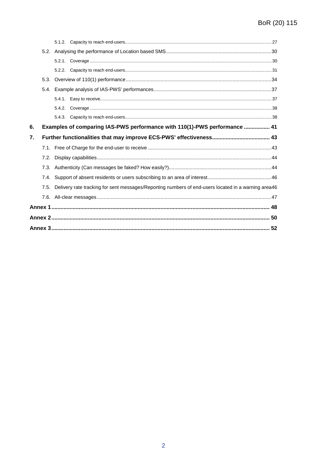| 6. |      |  | Examples of comparing IAS-PWS performance with 110(1)-PWS performance  41                           |  |  |
|----|------|--|-----------------------------------------------------------------------------------------------------|--|--|
| 7. |      |  |                                                                                                     |  |  |
|    |      |  |                                                                                                     |  |  |
|    | 7.2. |  |                                                                                                     |  |  |
|    |      |  |                                                                                                     |  |  |
|    | 7.4. |  |                                                                                                     |  |  |
|    | 7.5. |  | Delivery rate tracking for sent messages/Reporting numbers of end-users located in a warning area46 |  |  |
|    |      |  |                                                                                                     |  |  |
|    |      |  |                                                                                                     |  |  |
|    |      |  |                                                                                                     |  |  |
|    |      |  |                                                                                                     |  |  |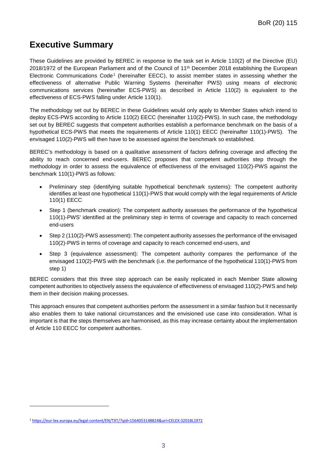# <span id="page-3-0"></span>**Executive Summary**

These Guidelines are provided by BEREC in response to the task set in Article 110(2) of the Directive (EU) 2018/1972 of the European Parliament and of the Council of 11<sup>th</sup> December 2018 establishing the European Electronic Communications Code[1](#page-3-1) (hereinafter EECC), to assist member states in assessing whether the effectiveness of alternative Public Warning Systems (hereinafter PWS) using means of electronic communications services (hereinafter ECS-PWS) as described in Article 110(2) is equivalent to the effectiveness of ECS-PWS falling under Article 110(1).

The methodology set out by BEREC in these Guidelines would only apply to Member States which intend to deploy ECS-PWS according to Article 110(2) EECC (hereinafter 110(2)-PWS). In such case, the methodology set out by BEREC suggests that competent authorities establish a performance benchmark on the basis of a hypothetical ECS-PWS that meets the requirements of Article 110(1) EECC (hereinafter 110(1)-PWS). The envisaged 110(2)-PWS will then have to be assessed against the benchmark so established.

BEREC's methodology is based on a qualitative assessment of factors defining coverage and affecting the ability to reach concerned end-users. BEREC proposes that competent authorities step through the methodology in order to assess the equivalence of effectiveness of the envisaged 110(2)-PWS against the benchmark 110(1)-PWS as follows:

- Preliminary step (identifying suitable hypothetical benchmark systems): The competent authority identifies at least one hypothetical 110(1)-PWS that would comply with the legal requirements of Article 110(1) EECC
- Step 1 (benchmark creation): The competent authority assesses the performance of the hypothetical 110(1)-PWS' identified at the preliminary step in terms of coverage and capacity to reach concerned end-users
- Step 2 (110(2)-PWS assessment): The competent authority assesses the performance of the envisaged 110(2)-PWS in terms of coverage and capacity to reach concerned end-users, and
- Step 3 (equivalence assessment): The competent authority compares the performance of the envisaged 110(2)-PWS with the benchmark (i.e. the performance of the hypothetical 110(1)-PWS from step 1)

BEREC considers that this three step approach can be easily replicated in each Member State allowing competent authorities to objectively assess the equivalence of effectiveness of envisaged 110(2)-PWS and help them in their decision making processes.

This approach ensures that competent authorities perform the assessment in a similar fashion but it necessarily also enables them to take national circumstances and the envisioned use case into consideration. What is important is that the steps themselves are harmonised, as this may increase certainty about the implementation of Article 110 EECC for competent authorities.

-

<span id="page-3-1"></span><sup>1</sup> <https://eur-lex.europa.eu/legal-content/EN/TXT/?qid=1564053148824&uri=CELEX:32018L1972>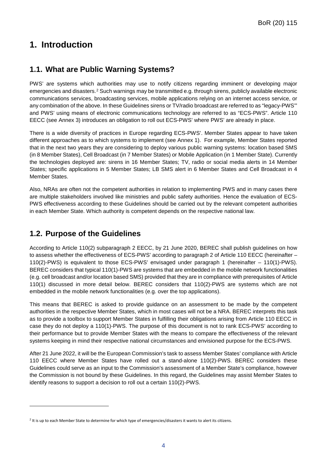# <span id="page-4-0"></span>**1. Introduction**

# <span id="page-4-1"></span>**1.1. What are Public Warning Systems?**

PWS' are systems which authorities may use to notify citizens regarding imminent or developing major emergencies and disasters.[2](#page-4-3) Such warnings may be transmitted e.g. through sirens, publicly available electronic communications services, broadcasting services, mobile applications relying on an internet access service, or any combination of the above. In these Guidelines sirens or TV/radio broadcast are referred to as "legacy-PWS'" and PWS' using means of electronic communications technology are referred to as "ECS-PWS". Article 110 EECC (see Annex 3) introduces an obligation to roll out ECS-PWS' where PWS' are already in place.

There is a wide diversity of practices in Europe regarding ECS-PWS'. Member States appear to have taken different approaches as to which systems to implement (see Annex 1). For example, Member States reported that in the next two years they are considering to deploy various public warning systems: location based SMS (in 8 Member States), Cell Broadcast (in 7 Member States) or Mobile Application (in 1 Member State). Currently the technologies deployed are: sirens in 16 Member States; TV, radio or social media alerts in 14 Member States; specific applications in 5 Member States; LB SMS alert in 6 Member States and Cell Broadcast in 4 Member States.

Also, NRAs are often not the competent authorities in relation to implementing PWS and in many cases there are multiple stakeholders involved like ministries and public safety authorities. Hence the evaluation of ECS-PWS effectiveness according to these Guidelines should be carried out by the relevant competent authorities in each Member State. Which authority is competent depends on the respective national law.

# <span id="page-4-2"></span>**1.2. Purpose of the Guidelines**

-

According to Article 110(2) subparagraph 2 EECC, by 21 June 2020, BEREC shall publish guidelines on how to assess whether the effectiveness of ECS-PWS' according to paragraph 2 of Article 110 EECC (hereinafter – 110(2)-PWS) is equivalent to those ECS-PWS' envisaged under paragraph 1 (hereinafter – 110(1)-PWS). BEREC considers that typical 110(1)-PWS are systems that are embedded in the mobile network functionalities (e.g. cell broadcast and/or location based SMS) provided that they are in compliance with prerequisites of Article 110(1) discussed in more detail below. BEREC considers that 110(2)-PWS are systems which are not embedded in the mobile network functionalities (e.g. over the top applications).

This means that BEREC is asked to provide guidance on an assessment to be made by the competent authorities in the respective Member States, which in most cases will not be a NRA. BEREC interprets this task as to provide a toolbox to support Member States in fulfilling their obligations arising from Article 110 EECC in case they do not deploy a 110(1)-PWS. The purpose of this document is not to rank ECS-PWS' according to their performance but to provide Member States with the means to compare the effectiveness of the relevant systems keeping in mind their respective national circumstances and envisioned purpose for the ECS-PWS.

After 21 June 2022, it will be the European Commission's task to assess Member States' compliance with Article 110 EECC where Member States have rolled out a stand-alone 110(2)-PWS. BEREC considers these Guidelines could serve as an input to the Commission's assessment of a Member State's compliance, however the Commission is not bound by these Guidelines. In this regard, the Guidelines may assist Member States to identify reasons to support a decision to roll out a certain 110(2)-PWS.

<span id="page-4-3"></span><sup>&</sup>lt;sup>2</sup> It is up to each Member State to determine for which type of emergencies/disasters it wants to alert its citizens.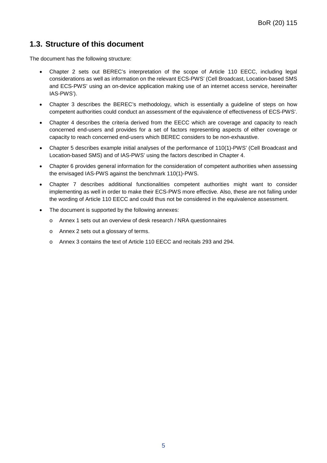# <span id="page-5-0"></span>**1.3. Structure of this document**

The document has the following structure:

- Chapter [2](#page-6-0) sets out BEREC's interpretation of the scope of Article 110 EECC, including legal considerations as well as information on the relevant ECS-PWS' (Cell Broadcast, Location-based SMS and ECS-PWS' using an on-device application making use of an internet access service, hereinafter IAS-PWS').
- Chapter [3](#page-17-0) describes the BEREC's methodology, which is essentially a guideline of steps on how competent authorities could conduct an assessment of the equivalence of effectiveness of ECS-PWS'.
- Chapter [4](#page-20-0) describes the criteria derived from the EECC which are coverage and capacity to reach concerned end-users and provides for a set of factors representing aspects of either coverage or capacity to reach concerned end-users which BEREC considers to be non-exhaustive.
- Chapter 5 describes example initial analyses of the performance of 110(1)-PWS' (Cell Broadcast and Location-based SMS) and of IAS-PWS' using the factors described in Chapter [4.](#page-20-0)
- Chapter [6](#page-41-0) provides general information for the consideration of competent authorities when assessing the envisaged IAS-PWS against the benchmark 110(1)-PWS.
- Chapter [7](#page-43-0) describes additional functionalities competent authorities might want to consider implementing as well in order to make their ECS-PWS more effective. Also, these are not falling under the wording of Article 110 EECC and could thus not be considered in the equivalence assessment.
- The document is supported by the following annexes:
	- o Annex 1 sets out an overview of desk research / NRA questionnaires
	- o Annex 2 sets out a glossary of terms.
	- o Annex 3 contains the text of Article 110 EECC and recitals 293 and 294.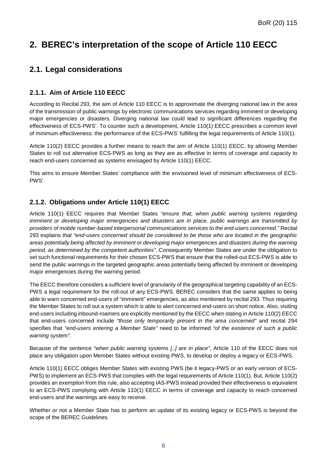# <span id="page-6-0"></span>**2. BEREC's interpretation of the scope of Article 110 EECC**

# <span id="page-6-1"></span>**2.1. Legal considerations**

## <span id="page-6-2"></span>**2.1.1. Aim of Article 110 EECC**

According to Recital 293, the aim of Article 110 EECC is to approximate the diverging national law in the area of the transmission of public warnings by electronic communications services regarding imminent or developing major emergencies or disasters. Diverging national law could lead to significant differences regarding the effectiveness of ECS-PWS'. To counter such a development, Article 110(1) EECC prescribes a common level of minimum effectiveness: the performance of the ECS-PWS' fulfilling the legal requirements of Article 110(1).

Article 110(2) EECC provides a further means to reach the aim of Article 110(1) EECC, by allowing Member States to roll out alternative ECS-PWS as long as they are as effective in terms of coverage and capacity to reach end-users concerned as systems envisaged by Article 110(1) EECC.

This aims to ensure Member States' compliance with the envisioned level of minimum effectiveness of ECS-PWS'.

### <span id="page-6-3"></span>**2.1.2. Obligations under Article 110(1) EECC**

Article 110(1) EECC requires that Member States *"ensure that, when public warning systems regarding imminent or developing major emergencies and disasters are in place, public warnings are transmitted by providers of mobile number-based interpersonal communications services to the end-users concerned."* Recital 293 explains *that "end-users concerned should be considered to be those who are located in the geographic areas potentially being affected by imminent or developing major emergencies and disasters during the warning period, as determined by the competent authorities"*. Consequently Member States are under the obligation to set such functional requirements for their chosen ECS-PWS that ensure that the rolled-out ECS-PWS is able to send the public warnings in the targeted geographic areas potentially being affected by imminent or developing major emergencies during the warning period.

The EECC therefore considers a sufficient level of granularity of the geographical targeting capability of an ECS-PWS a legal requirement for the roll-out of any ECS-PWS. BEREC considers that the same applies to being able to warn concerned end-users of "imminent" emergencies, as also mentioned by recital 293. Thus requiring the Member States to roll out a system which is able to alert concerned end-users on short notice. Also, visiting end-users including inbound-roamers are explicitly mentioned by the EECC when stating in Article 110(2) EECC that end-users concerned include *"those only temporarily present in the area concerned"* and recital 294 specifies that *"end-users entering a Member State"* need to be informed *"of the existence of such a public warning system"*.

Because of the sentence *"when public warning systems [..] are in place"*, Article 110 of the EECC does not place any obligation upon Member States without existing PWS, to develop or deploy a legacy or ECS-PWS.

Article 110(1) EECC obliges Member States with existing PWS (be it legacy-PWS or an early version of ECS-PWS) to implement an ECS-PWS that complies with the legal requirements of Article 110(1). But, Article 110(2) provides an exemption from this rule, also accepting IAS-PWS instead provided their effectiveness is equivalent to an ECS-PWS complying with Article 110(1) EECC in terms of coverage and capacity to reach concerned end-users and the warnings are easy to receive.

Whether or not a Member State has to perform an update of its existing legacy or ECS-PWS is beyond the scope of the BEREC Guidelines.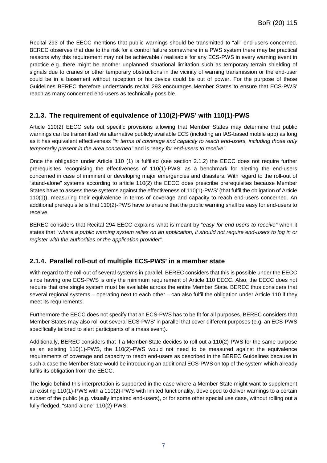Recital 293 of the EECC mentions that public warnings should be transmitted to "all" end-users concerned. BEREC observes that due to the risk for a control failure somewhere in a PWS system there may be practical reasons why this requirement may not be achievable / realisable for any ECS-PWS in every warning event in practice e.g. there might be another unplanned situational limitation such as temporary terrain shielding of signals due to cranes or other temporary obstructions in the vicinity of warning transmission or the end-user could be in a basement without reception or his device could be out of power. For the purpose of these Guidelines BEREC therefore understands recital 293 encourages Member States to ensure that ECS-PWS' reach as many concerned end-users as technically possible.

## <span id="page-7-0"></span>**2.1.3. The requirement of equivalence of 110(2)-PWS' with 110(1)-PWS**

Article 110(2) EECC sets out specific provisions allowing that Member States may determine that public warnings can be transmitted via alternative publicly available ECS (including an IAS-based mobile app) as long as it has equivalent effectiveness *"in terms of coverage and capacity to reach end-users, including those only temporarily present in the area concerned"* and is "*easy for end-users to receive".*

Once the obligation under Article 110 (1) is fulfilled (see section 2.1.2) the EECC does not require further prerequisites recognising the effectiveness of 110(1)-PWS' as a benchmark for alerting the end-users concerned in case of imminent or developing major emergencies and disasters. With regard to the roll-out of "stand-alone" systems according to article 110(2) the EECC does prescribe prerequisites because Member States have to assess these systems against the effectiveness of 110(1)-PWS' (that fulfil the obligation of Article 110(1)), measuring their equivalence in terms of coverage and capacity to reach end-users concerned. An additional prerequisite is that 110(2)-PWS have to ensure that the public warning shall be easy for end-users to receive.

BEREC considers that Recital 294 EECC explains what is meant by "*easy for end-users to receive"* when it states that "w*here a public warning system relies on an application, it should not require end-users to log in or register with the authorities or the application provider*".

### <span id="page-7-1"></span>**2.1.4. Parallel roll-out of multiple ECS-PWS' in a member state**

With regard to the roll-out of several systems in parallel, BEREC considers that this is possible under the EECC since having one ECS-PWS is only the minimum requirement of Article 110 EECC. Also, the EECC does not require that one single system must be available across the entire Member State. BEREC thus considers that several regional systems – operating next to each other – can also fulfil the obligation under Article 110 if they meet its requirements.

Furthermore the EECC does not specify that an ECS-PWS has to be fit for all purposes. BEREC considers that Member States may also roll out several ECS-PWS' in parallel that cover different purposes (e.g. an ECS-PWS specifically tailored to alert participants of a mass event).

Additionally, BEREC considers that if a Member State decides to roll out a 110(2)-PWS for the same purpose as an existing 110(1)-PWS, the 110(2)-PWS would not need to be measured against the equivalence requirements of coverage and capacity to reach end-users as described in the BEREC Guidelines because in such a case the Member State would be introducing an additional ECS-PWS on top of the system which already fulfils its obligation from the EECC.

The logic behind this interpretation is supported in the case where a Member State might want to supplement an existing 110(1)-PWS with a 110(2)-PWS with limited functionality, developed to deliver warnings to a certain subset of the public (e.g. visually impaired end-users), or for some other special use case, without rolling out a fully-fledged, "stand-alone" 110(2)-PWS.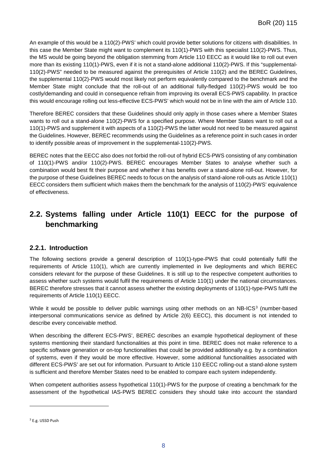An example of this would be a 110(2)-PWS' which could provide better solutions for citizens with disabilities. In this case the Member State might want to complement its 110(1)-PWS with this specialist 110(2)-PWS. Thus, the MS would be going beyond the obligation stemming from Article 110 EECC as it would like to roll out even more than its existing 110(1)-PWS, even if it is not a stand-alone additional 110(2)-PWS. If this "supplemental-110(2)-PWS" needed to be measured against the prerequisites of Article 110(2) and the BEREC Guidelines, the supplemental 110(2)-PWS would most likely not perform equivalently compared to the benchmark and the Member State might conclude that the roll-out of an additional fully-fledged 110(2)-PWS would be too costly/demanding and could in consequence refrain from improving its overall ECS-PWS capability. In practice this would encourage rolling out less-effective ECS-PWS' which would not be in line with the aim of Article 110.

Therefore BEREC considers that these Guidelines should only apply in those cases where a Member States wants to roll out a stand-alone 110(2)-PWS for a specified purpose. Where Member States want to roll out a 110(1)-PWS and supplement it with aspects of a 110(2)-PWS the latter would not need to be measured against the Guidelines. However, BEREC recommends using the Guidelines as a reference point in such cases in order to identify possible areas of improvement in the supplemental-110(2)-PWS.

BEREC notes that the EECC also does not forbid the roll-out of hybrid ECS-PWS consisting of any combination of 110(1)-PWS and/or 110(2)-PWS. BEREC encourages Member States to analyse whether such a combination would best fit their purpose and whether it has benefits over a stand-alone roll-out. However, for the purpose of these Guidelines BEREC needs to focus on the analysis of stand-alone roll-outs as Article 110(1) EECC considers them sufficient which makes them the benchmark for the analysis of 110(2)-PWS' equivalence of effectiveness.

# <span id="page-8-0"></span>**2.2. Systems falling under Article 110(1) EECC for the purpose of benchmarking**

### <span id="page-8-1"></span>**2.2.1. Introduction**

The following sections provide a general description of 110(1)-type-PWS that could potentially fulfil the requirements of Article 110(1), which are currently implemented in live deployments and which BEREC considers relevant for the purpose of these Guidelines. It is still up to the respective competent authorities to assess whether such systems would fulfil the requirements of Article 110(1) under the national circumstances. BEREC therefore stresses that it cannot assess whether the existing deployments of 110(1)-type-PWS fulfil the requirements of Article 110(1) EECC.

While it would be possible to deliver public warnings using other methods on an NB-ICS<sup>[3](#page-8-2)</sup> (number-based interpersonal communications service as defined by Article 2(6) EECC), this document is not intended to describe every conceivable method.

When describing the different ECS-PWS', BEREC describes an example hypothetical deployment of these systems mentioning their standard functionalities at this point in time. BEREC does not make reference to a specific software generation or on-top functionalities that could be provided additionally e.g. by a combination of systems, even if they would be more effective. However, some additional functionalities associated with different ECS-PWS' are set out for information. Pursuant to Article 110 EECC rolling-out a stand-alone system is sufficient and therefore Member States need to be enabled to compare each system independently.

When competent authorities assess hypothetical 110(1)-PWS for the purpose of creating a benchmark for the assessment of the hypothetical IAS-PWS BEREC considers they should take into account the standard

-

<span id="page-8-2"></span><sup>3</sup> E.g. USSD Push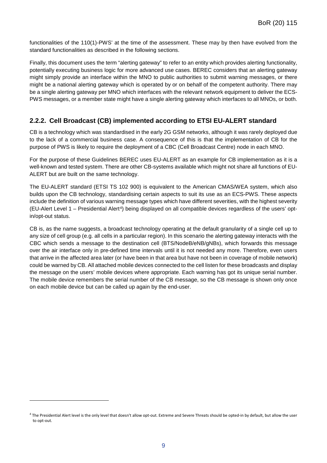functionalities of the 110(1)-PWS' at the time of the assessment. These may by then have evolved from the standard functionalities as described in the following sections.

Finally, this document uses the term "alerting gateway" to refer to an entity which provides alerting functionality, potentially executing business logic for more advanced use cases. BEREC considers that an alerting gateway might simply provide an interface within the MNO to public authorities to submit warning messages, or there might be a national alerting gateway which is operated by or on behalf of the competent authority. There may be a single alerting gateway per MNO which interfaces with the relevant network equipment to deliver the ECS-PWS messages, or a member state might have a single alerting gateway which interfaces to all MNOs, or both.

### <span id="page-9-0"></span>**2.2.2. Cell Broadcast (CB) implemented according to ETSI EU-ALERT standard**

CB is a technology which was standardised in the early 2G GSM networks, although it was rarely deployed due to the lack of a commercial business case. A consequence of this is that the implementation of CB for the purpose of PWS is likely to require the deployment of a CBC (Cell Broadcast Centre) node in each MNO.

For the purpose of these Guidelines BEREC uses EU-ALERT as an example for CB implementation as it is a well-known and tested system. There are other CB-systems available which might not share all functions of EU-ALERT but are built on the same technology.

The EU-ALERT standard (ETSI TS 102 900) is equivalent to the American CMAS/WEA system, which also builds upon the CB technology, standardising certain aspects to suit its use as an ECS-PWS. These aspects include the definition of various warning message types which have different severities, with the highest severity (EU-Alert Level 1 – Presidential Alert<sup>[4](#page-9-1)</sup>) being displayed on all compatible devices regardless of the users' optin/opt-out status.

CB is, as the name suggests, a broadcast technology operating at the default granularity of a single cell up to any size of cell group (e.g. all cells in a particular region). In this scenario the alerting gateway interacts with the CBC which sends a message to the destination cell (BTS/NodeB/eNB/gNBs), which forwards this message over the air interface only in pre-defined time intervals until it is not needed any more. Therefore, even users that arrive in the affected area later (or have been in that area but have not been in coverage of mobile network) could be warned by CB. All attached mobile devices connected to the cell listen for these broadcasts and display the message on the users' mobile devices where appropriate. Each warning has got its unique serial number. The mobile device remembers the serial number of the CB message, so the CB message is shown only once on each mobile device but can be called up again by the end-user.

-

<span id="page-9-1"></span><sup>&</sup>lt;sup>4</sup> The Presidential Alert level is the only level that doesn't allow opt-out. Extreme and Severe Threats should be opted-in by default, but allow the user to opt-out.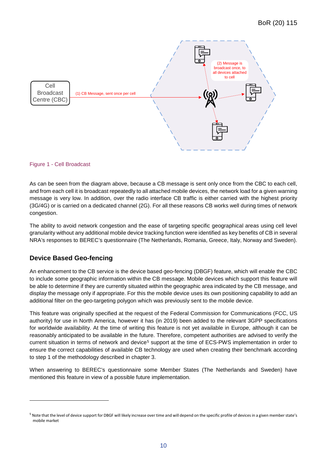

#### Figure 1 - Cell Broadcast

As can be seen from the diagram above, because a CB message is sent only once from the CBC to each cell, and from each cell it is broadcast repeatedly to all attached mobile devices, the network load for a given warning message is very low. In addition, over the radio interface CB traffic is either carried with the highest priority (3G/4G) or is carried on a dedicated channel (2G). For all these reasons CB works well during times of network congestion.

The ability to avoid network congestion and the ease of targeting specific geographical areas using cell level granularity without any additional mobile device tracking function were identified as key benefits of CB in several NRA's responses to BEREC's questionnaire (The Netherlands, Romania, Greece, Italy, Norway and Sweden).

### **Device Based Geo-fencing**

-

An enhancement to the CB service is the device based geo-fencing (DBGF) feature, which will enable the CBC to include some geographic information within the CB message. Mobile devices which support this feature will be able to determine if they are currently situated within the geographic area indicated by the CB message, and display the message only if appropriate. For this the mobile device uses its own positioning capability to add an additional filter on the geo-targeting polygon which was previously sent to the mobile device.

This feature was originally specified at the request of the Federal Commission for Communications (FCC, US authority) for use in North America, however it has (in 2019) been added to the relevant 3GPP specifications for worldwide availability. At the time of writing this feature is not yet available in Europe, although it can be reasonably anticipated to be available in the future. Therefore, competent authorities are advised to verify the current situation in terms of network and device<sup>[5](#page-10-0)</sup> support at the time of ECS-PWS implementation in order to ensure the correct capabilities of available CB technology are used when creating their benchmark according to step 1 of the methodology described in chapter [3.](#page-17-0)

When answering to BEREC's questionnaire some Member States (The Netherlands and Sweden) have mentioned this feature in view of a possible future implementation.

<span id="page-10-0"></span><sup>&</sup>lt;sup>5</sup> Note that the level of device support for DBGF will likely increase over time and will depend on the specific profile of devices in a given member state's mobile market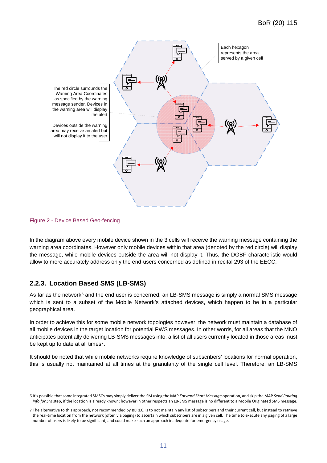

Figure 2 - Device Based Geo-fencing

-

In the diagram above every mobile device shown in the 3 cells will receive the warning message containing the warning area coordinates. However only mobile devices within that area (denoted by the red circle) will display the message, while mobile devices outside the area will not display it. Thus, the DGBF characteristic would allow to more accurately address only the end-users concerned as defined in recital 293 of the EECC.

### <span id="page-11-0"></span>**2.2.3. Location Based SMS (LB-SMS)**

As far as the network<sup>[6](#page-11-1)</sup> and the end user is concerned, an LB-SMS message is simply a normal SMS message which is sent to a subset of the Mobile Network's attached devices, which happen to be in a particular geographical area.

In order to achieve this for some mobile network topologies however, the network must maintain a database of all mobile devices in the target location for potential PWS messages. In other words, for all areas that the MNO anticipates potentially delivering LB-SMS messages into, a list of all users currently located in those areas must be kept up to date at all times<sup>7</sup>.

It should be noted that while mobile networks require knowledge of subscribers' locations for normal operation, this is usually not maintained at all times at the granularity of the single cell level. Therefore, an LB-SMS

<span id="page-11-1"></span><sup>6</sup> It's possible that some integrated SMSCs may simply deliver the SM using the MAP *Forward Short Message* operation, and skip the MAP *Send Routing info for SM* step, if the location is already known; however in other respects an LB-SMS message is no different to a Mobile Originated SMS message.

<span id="page-11-2"></span><sup>7</sup> The alternative to this approach, not recommended by BEREC, is to not maintain any list of subscribers and their current cell, but instead to retrieve the real-time location from the network (often via paging) to ascertain which subscribers are in a given cell. The time to execute any paging of a large number of users is likely to be significant, and could make such an approach inadequate for emergency usage.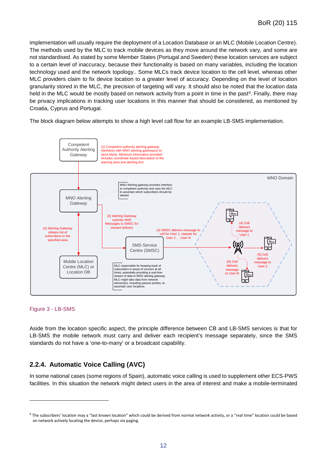implementation will usually require the deployment of a Location Database or an MLC (Mobile Location Centre). The methods used by the MLC to track mobile devices as they move around the network vary, and some are not standardised. As stated by some Member States (Portugal and Sweden) these location services are subject to a certain level of inaccuracy, because their functionality is based on many variables, including the location technology used and the network topology.. Some MLCs track device location to the cell level, whereas other MLC providers claim to fix device location to a greater level of accuracy. Depending on the level of location granularity stored in the MLC, the precision of targeting will vary. It should also be noted that the location data held in the MLC would be mostly based on network activity from a point in time in the past<sup>[8](#page-12-1)</sup>. Finally, there may be privacy implications in tracking user locations in this manner that should be considered, as mentioned by Croatia, Cyprus and Portugal.

The block diagram below attempts to show a high level call flow for an example LB-SMS implementation.





-

Aside from the location specific aspect, the principle difference between CB and LB-SMS services is that for LB-SMS the mobile network must carry and deliver each recipient's message separately, since the SMS standards do not have a 'one-to-many' or a broadcast capability.

### <span id="page-12-0"></span>**2.2.4. Automatic Voice Calling (AVC)**

In some national cases (some regions of Spain), automatic voice calling is used to supplement other ECS-PWS facilities. In this situation the network might detect users in the area of interest and make a mobile-terminated

<span id="page-12-1"></span><sup>&</sup>lt;sup>8</sup> The subscribers' location may a "last known location" which could be derived from normal network activity, or a "real time" location could be based on network actively locating the device, perhaps via paging.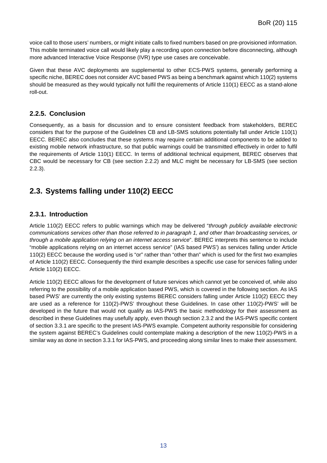voice call to those users' numbers, or might initiate calls to fixed numbers based on pre-provisioned information. This mobile terminated voice call would likely play a recording upon connection before disconnecting, although more advanced Interactive Voice Response (IVR) type use cases are conceivable.

Given that these AVC deployments are supplemental to other ECS-PWS systems, generally performing a specific niche, BEREC does not consider AVC based PWS as being a benchmark against which 110(2) systems should be measured as they would typically not fulfil the requirements of Article 110(1) EECC as a stand-alone roll-out.

### <span id="page-13-0"></span>**2.2.5. Conclusion**

Consequently, as a basis for discussion and to ensure consistent feedback from stakeholders, BEREC considers that for the purpose of the Guidelines CB and LB-SMS solutions potentially fall under Article 110(1) EECC. BEREC also concludes that these systems may require certain additional components to be added to existing mobile network infrastructure, so that public warnings could be transmitted effectively in order to fulfil the requirements of Article 110(1) EECC. In terms of additional technical equipment, BEREC observes that CBC would be necessary for CB (see section [2.2.2\)](#page-9-0) and MLC might be necessary for LB-SMS (see section [2.2.3\)](#page-11-0).

# <span id="page-13-1"></span>**2.3. Systems falling under 110(2) EECC**

### <span id="page-13-2"></span>**2.3.1. Introduction**

Article 110(2) EECC refers to public warnings which may be delivered "*through publicly available electronic communications services other than those referred to in paragraph 1, and other than broadcasting services, or through a mobile application relying on an internet access service*". BEREC interprets this sentence to include "mobile applications relying on an internet access service" (IAS based PWS') as services falling under Article 110(2) EECC because the wording used is "or" rather than "other than" which is used for the first two examples of Article 110(2) EECC. Consequently the third example describes a specific use case for services falling under Article 110(2) EECC.

Article 110(2) EECC allows for the development of future services which cannot yet be conceived of, while also referring to the possibility of a mobile application based PWS, which is covered in the following section. As IAS based PWS' are currently the only existing systems BEREC considers falling under Article 110(2) EECC they are used as a reference for 110(2)-PWS' throughout these Guidelines. In case other 110(2)-PWS' will be developed in the future that would not qualify as IAS-PWS the basic methodology for their assessment as described in these Guidelines may usefully apply, even though section 2.3.2 and the IAS-PWS specific content of section 3.3.1 are specific to the present IAS-PWS example. Competent authority responsible for considering the system against BEREC's Guidelines could contemplate making a description of the new 110(2)-PWS in a similar way as done in section 3.3.1 for IAS-PWS, and proceeding along similar lines to make their assessment.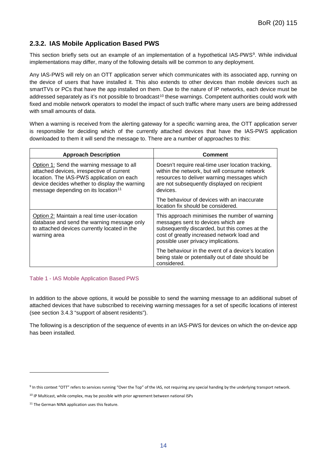### <span id="page-14-0"></span>**2.3.2. IAS Mobile Application Based PWS**

This section briefly sets out an example of an implementation of a hypothetical IAS-PWS<sup>9</sup>. While individual implementations may differ, many of the following details will be common to any deployment.

Any IAS-PWS will rely on an OTT application server which communicates with its associated app, running on the device of users that have installed it. This also extends to other devices than mobile devices such as smartTVs or PCs that have the app installed on them. Due to the nature of IP networks, each device must be addressed separately as it's not possible to broadcast<sup>[10](#page-14-2)</sup> these warnings. Competent authorities could work with fixed and mobile network operators to model the impact of such traffic where many users are being addressed with small amounts of data.

When a warning is received from the alerting gateway for a specific warning area, the OTT application server is responsible for deciding which of the currently attached devices that have the IAS-PWS application downloaded to them it will send the message to. There are a number of approaches to this:

| <b>Approach Description</b>                                                                                                                                                                                                             | Comment                                                                                                                                                                                                                   |
|-----------------------------------------------------------------------------------------------------------------------------------------------------------------------------------------------------------------------------------------|---------------------------------------------------------------------------------------------------------------------------------------------------------------------------------------------------------------------------|
| Option 1: Send the warning message to all<br>attached devices, irrespective of current<br>location. The IAS-PWS application on each<br>device decides whether to display the warning<br>message depending on its location <sup>11</sup> | Doesn't require real-time user location tracking,<br>within the network, but will consume network<br>resources to deliver warning messages which<br>are not subsequently displayed on recipient<br>devices.               |
|                                                                                                                                                                                                                                         | The behaviour of devices with an inaccurate<br>location fix should be considered.                                                                                                                                         |
| Option 2: Maintain a real time user-location<br>database and send the warning message only<br>to attached devices currently located in the<br>warning area                                                                              | This approach minimises the number of warning<br>messages sent to devices which are<br>subsequently discarded, but this comes at the<br>cost of greatly increased network load and<br>possible user privacy implications. |
|                                                                                                                                                                                                                                         | The behaviour in the event of a device's location<br>being stale or potentially out of date should be<br>considered.                                                                                                      |

#### Table 1 - IAS Mobile Application Based PWS

In addition to the above options, it would be possible to send the warning message to an additional subset of attached devices that have subscribed to receiving warning messages for a set of specific locations of interest (see section 3.4.3 "support of absent residents").

The following is a description of the sequence of events in an IAS-PWS for devices on which the on-device app has been installed.

-

<span id="page-14-1"></span><sup>&</sup>lt;sup>9</sup> In this context "OTT" refers to services running "Over the Top" of the IAS, not requiring any special handing by the underlying transport network.

<span id="page-14-2"></span><sup>&</sup>lt;sup>10</sup> IP Multicast, while complex, may be possible with prior agreement between national ISPs

<span id="page-14-3"></span><sup>&</sup>lt;sup>11</sup> The German NINA application uses this feature.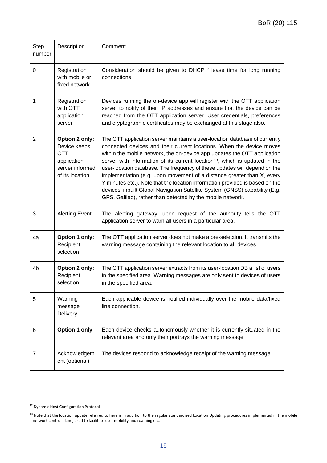| <b>Step</b><br>number | Description                                                                                       | Comment                                                                                                                                                                                                                                                                                                                                                                                                                                                                                                                                                                                                                                                                                                       |
|-----------------------|---------------------------------------------------------------------------------------------------|---------------------------------------------------------------------------------------------------------------------------------------------------------------------------------------------------------------------------------------------------------------------------------------------------------------------------------------------------------------------------------------------------------------------------------------------------------------------------------------------------------------------------------------------------------------------------------------------------------------------------------------------------------------------------------------------------------------|
| 0                     | Registration<br>with mobile or<br>fixed network                                                   | Consideration should be given to DHCP <sup>12</sup> lease time for long running<br>connections                                                                                                                                                                                                                                                                                                                                                                                                                                                                                                                                                                                                                |
| 1                     | Registration<br>with OTT<br>application<br>server                                                 | Devices running the on-device app will register with the OTT application<br>server to notify of their IP addresses and ensure that the device can be<br>reached from the OTT application server. User credentials, preferences<br>and cryptographic certificates may be exchanged at this stage also.                                                                                                                                                                                                                                                                                                                                                                                                         |
| $\overline{2}$        | Option 2 only:<br>Device keeps<br><b>OTT</b><br>application<br>server informed<br>of its location | The OTT application server maintains a user-location database of currently<br>connected devices and their current locations. When the device moves<br>within the mobile network, the on-device app updates the OTT application<br>server with information of its current location <sup>13</sup> , which is updated in the<br>user-location database. The frequency of these updates will depend on the<br>implementation (e.g. upon movement of a distance greater than X, every<br>Y minutes etc.). Note that the location information provided is based on the<br>devices' inbuilt Global Navigation Satellite System (GNSS) capability (E.g.<br>GPS, Galileo), rather than detected by the mobile network. |
| 3                     | <b>Alerting Event</b>                                                                             | The alerting gateway, upon request of the authority tells the OTT<br>application server to warn all users in a particular area.                                                                                                                                                                                                                                                                                                                                                                                                                                                                                                                                                                               |
| 4a                    | Option 1 only:<br>Recipient<br>selection                                                          | The OTT application server does not make a pre-selection. It transmits the<br>warning message containing the relevant location to all devices.                                                                                                                                                                                                                                                                                                                                                                                                                                                                                                                                                                |
| 4b                    | Option 2 only:<br>Recipient<br>selection                                                          | The OTT application server extracts from its user-location DB a list of users<br>in the specified area. Warning messages are only sent to devices of users<br>in the specified area.                                                                                                                                                                                                                                                                                                                                                                                                                                                                                                                          |
| 5                     | Warning<br>message<br>Delivery                                                                    | Each applicable device is notified individually over the mobile data/fixed<br>line connection.                                                                                                                                                                                                                                                                                                                                                                                                                                                                                                                                                                                                                |
| 6                     | <b>Option 1 only</b>                                                                              | Each device checks autonomously whether it is currently situated in the<br>relevant area and only then portrays the warning message.                                                                                                                                                                                                                                                                                                                                                                                                                                                                                                                                                                          |
| 7                     | Acknowledgem<br>ent (optional)                                                                    | The devices respond to acknowledge receipt of the warning message.                                                                                                                                                                                                                                                                                                                                                                                                                                                                                                                                                                                                                                            |

-

<span id="page-15-0"></span><sup>12</sup> Dynamic Host Configuration Protocol

<span id="page-15-1"></span> $13$  Note that the location update referred to here is in addition to the regular standardised Location Updating procedures implemented in the mobile network control plane, used to facilitate user mobility and roaming etc.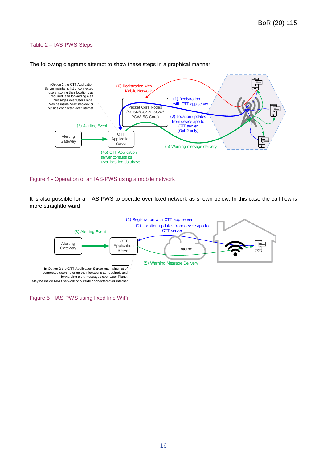#### Table 2 – IAS-PWS Steps



The following diagrams attempt to show these steps in a graphical manner.

#### Figure 4 - Operation of an IAS-PWS using a mobile network

It is also possible for an IAS-PWS to operate over fixed network as shown below. In this case the call flow is more straightforward



Figure 5 - IAS-PWS using fixed line WiFi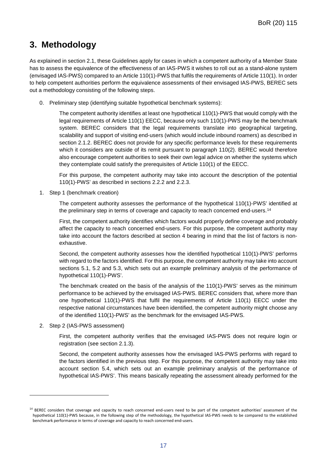# <span id="page-17-0"></span>**3. Methodology**

As explained in section [2.1,](#page-6-1) these Guidelines apply for cases in which a competent authority of a Member State has to assess the equivalence of the effectiveness of an IAS-PWS it wishes to roll out as a stand-alone system (envisaged IAS-PWS) compared to an Article 110(1)-PWS that fulfils the requirements of Article 110(1). In order to help competent authorities perform the equivalence assessments of their envisaged IAS-PWS, BEREC sets out a methodology consisting of the following steps.

0. Preliminary step (identifying suitable hypothetical benchmark systems):

The competent authority identifies at least one hypothetical 110(1)-PWS that would comply with the legal requirements of Article 110(1) EECC, because only such 110(1)-PWS may be the benchmark system. BEREC considers that the legal requirements translate into geographical targeting, scalability and support of visiting end-users (which would include inbound roamers) as described in section [2.1.2.](#page-6-3) BEREC does not provide for any specific performance levels for these requirements which it considers are outside of its remit pursuant to paragraph 110(2). BEREC would therefore also encourage competent authorities to seek their own legal advice on whether the systems which they contemplate could satisfy the prerequisites of Article 110(1) of the EECC.

For this purpose, the competent authority may take into account the description of the potential 110(1)-PWS' as described in sections [2.2.2](#page-9-0) and [2.2.3.](#page-11-0)

1. Step 1 (benchmark creation)

The competent authority assesses the performance of the hypothetical 110(1)-PWS' identified at the preliminary step in terms of coverage and capacity to reach concerned end-users.[14](#page-17-1)

First, the competent authority identifies which factors would properly define coverage and probably affect the capacity to reach concerned end-users. For this purpose, the competent authority may take into account the factors described at section [4](#page-20-0) bearing in mind that the list of factors is nonexhaustive.

Second, the competent authority assesses how the identified hypothetical 110(1)-PWS' performs with regard to the factors identified. For this purpose, the competent authority may take into account sections [5.1,](#page-26-1) [5.2](#page-30-0) and [5.3,](#page-34-0) which sets out an example preliminary analysis of the performance of hypothetical 110(1)-PWS'.

The benchmark created on the basis of the analysis of the 110(1)-PWS' serves as the minimum performance to be achieved by the envisaged IAS-PWS. BEREC considers that, where more than one hypothetical 110(1)-PWS that fulfil the requirements of Article 110(1) EECC under the respective national circumstances have been identified, the competent authority might choose any of the identified 110(1)-PWS' as the benchmark for the envisaged IAS-PWS.

2. Step 2 (IAS-PWS assessment)

-

First, the competent authority verifies that the envisaged IAS-PWS does not require login or registration (see section [2.1.3\)](#page-7-0).

Second, the competent authority assesses how the envisaged IAS-PWS performs with regard to the factors identified in the previous step. For this purpose, the competent authority may take into account section [5.4,](#page-37-0) which sets out an example preliminary analysis of the performance of hypothetical IAS-PWS'. This means basically repeating the assessment already performed for the

<span id="page-17-1"></span><sup>&</sup>lt;sup>14</sup> BEREC considers that coverage and capacity to reach concerned end-users need to be part of the competent authorities' assessment of the hypothetical 110(1)-PWS because, in the following step of the methodology, the hypothetical IAS-PWS needs to be compared to the established benchmark performance in terms of coverage and capacity to reach concerned end-users.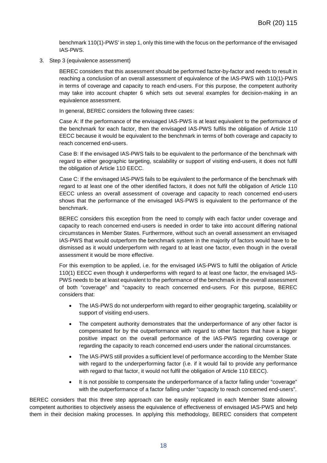benchmark 110(1)-PWS' in step 1, only this time with the focus on the performance of the envisaged IAS-PWS.

3. Step 3 (equivalence assessment)

BEREC considers that this assessment should be performed factor-by-factor and needs to result in reaching a conclusion of an overall assessment of equivalence of the IAS-PWS with 110(1)-PWS in terms of coverage and capacity to reach end-users. For this purpose, the competent authority may take into account chapter [6](#page-41-0) which sets out several examples for decision-making in an equivalence assessment.

In general, BEREC considers the following three cases:

Case A: If the performance of the envisaged IAS-PWS is at least equivalent to the performance of the benchmark for each factor, then the envisaged IAS-PWS fulfils the obligation of Article 110 EECC because it would be equivalent to the benchmark in terms of both coverage and capacity to reach concerned end-users.

Case B: If the envisaged IAS-PWS fails to be equivalent to the performance of the benchmark with regard to either geographic targeting, scalability or support of visiting end-users, it does not fulfil the obligation of Article 110 EECC.

Case C: If the envisaged IAS-PWS fails to be equivalent to the performance of the benchmark with regard to at least one of the other identified factors, it does not fulfil the obligation of Article 110 EECC unless an overall assessment of coverage and capacity to reach concerned end-users shows that the performance of the envisaged IAS-PWS is equivalent to the performance of the benchmark.

BEREC considers this exception from the need to comply with each factor under coverage and capacity to reach concerned end-users is needed in order to take into account differing national circumstances in Member States. Furthermore, without such an overall assessment an envisaged IAS-PWS that would outperform the benchmark system in the majority of factors would have to be dismissed as it would underperform with regard to at least one factor, even though in the overall assessment it would be more effective.

For this exemption to be applied, i.e. for the envisaged IAS-PWS to fulfil the obligation of Article 110(1) EECC even though it underperforms with regard to at least one factor, the envisaged IAS-PWS needs to be at least equivalent to the performance of the benchmark in the overall assessment of both "coverage" and "capacity to reach concerned end-users. For this purpose, BEREC considers that:

- The IAS-PWS do not underperform with regard to either geographic targeting, scalability or support of visiting end-users.
- The competent authority demonstrates that the underperformance of any other factor is compensated for by the outperformance with regard to other factors that have a bigger positive impact on the overall performance of the IAS-PWS regarding coverage or regarding the capacity to reach concerned end-users under the national circumstances.
- The IAS-PWS still provides a sufficient level of performance according to the Member State with regard to the underperforming factor (i.e. if it would fail to provide any performance with regard to that factor, it would not fulfil the obligation of Article 110 EECC).
- It is not possible to compensate the underperformance of a factor falling under "coverage" with the outperformance of a factor falling under "capacity to reach concerned end-users".

BEREC considers that this three step approach can be easily replicated in each Member State allowing competent authorities to objectively assess the equivalence of effectiveness of envisaged IAS-PWS and help them in their decision making processes. In applying this methodology, BEREC considers that competent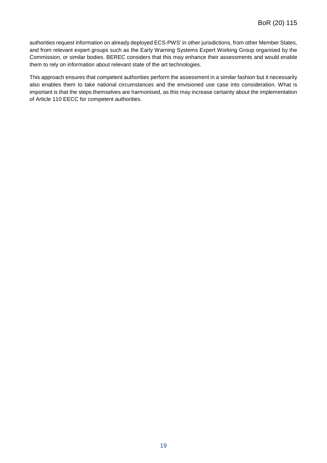authorities request information on already deployed ECS-PWS' in other jurisdictions, from other Member States, and from relevant expert groups such as the Early Warning Systems Expert Working Group organised by the Commission, or similar bodies. BEREC considers that this may enhance their assessments and would enable them to rely on information about relevant state of the art technologies.

This approach ensures that competent authorities perform the assessment in a similar fashion but it necessarily also enables them to take national circumstances and the envisioned use case into consideration. What is important is that the steps themselves are harmonised, as this may increase certainty about the implementation of Article 110 EECC for competent authorities.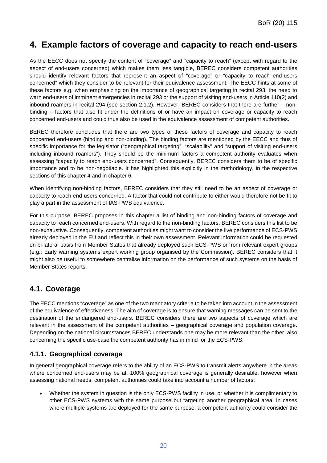# <span id="page-20-0"></span>**4. Example factors of coverage and capacity to reach end-users**

As the EECC does not specify the content of "coverage" and "capacity to reach" (except with regard to the aspect of end-users concerned) which makes them less tangible, BEREC considers competent authorities should identify relevant factors that represent an aspect of "coverage" or "capacity to reach end-users concerned" which they consider to be relevant for their equivalence assessment. The EECC hints at some of these factors e.g. when emphasizing on the importance of geographical targeting in recital 293, the need to warn end-users of imminent emergencies in recital 293 or the support of visiting end-users in Article 110(2) and inbound roamers in recital 294 (see section [2.1.2\)](#page-6-3). However, BEREC considers that there are further – nonbinding – factors that also fit under the definitions of or have an impact on coverage or capacity to reach concerned end-users and could thus also be used in the equivalence assessment of competent authorities.

BEREC therefore concludes that there are two types of these factors of coverage and capacity to reach concerned end-users (binding and non-binding). The binding factors are mentioned by the EECC and thus of specific importance for the legislator ("geographical targeting", "scalability" and "support of visiting end-users including inbound roamers"). They should be the minimum factors a competent authority evaluates when assessing "capacity to reach end-users concerned". Consequently, BEREC considers them to be of specific importance and to be non-negotiable. It has highlighted this explicitly in the methodology, in the respective sections of this chapter [4](#page-20-0) and in chapter [6.](#page-41-0)

When identifying non-binding factors, BEREC considers that they still need to be an aspect of coverage or capacity to reach end-users concerned. A factor that could not contribute to either would therefore not be fit to play a part in the assessment of IAS-PWS equivalence.

For this purpose, BEREC proposes in this chapter a list of binding and non-binding factors of coverage and capacity to reach concerned end-users. With regard to the non-binding factors, BEREC considers this list to be non-exhaustive. Consequently, competent authorities might want to consider the live performance of ECS-PWS already deployed in the EU and reflect this in their own assessment. Relevant information could be requested on bi-lateral basis from Member States that already deployed such ECS-PWS or from relevant expert groups (e.g.: Early warning systems expert working group organised by the Commission). BEREC considers that it might also be useful to somewhere centralise information on the performance of such systems on the basis of Member States reports.

# <span id="page-20-1"></span>**4.1. Coverage**

The EECC mentions "coverage" as one of the two mandatory criteria to be taken into account in the assessment of the equivalence of effectiveness. The aim of coverage is to ensure that warning messages can be sent to the destination of the endangered end-users. BEREC considers there are two aspects of coverage which are relevant in the assessment of the competent authorities – geographical coverage and population coverage. Depending on the national circumstances BEREC understands one may be more relevant than the other, also concerning the specific use-case the competent authority has in mind for the ECS-PWS.

### <span id="page-20-2"></span>**4.1.1. Geographical coverage**

In general geographical coverage refers to the ability of an ECS-PWS to transmit alerts anywhere in the areas where concerned end-users may be at. 100% geographical coverage is generally desirable, however when assessing national needs, competent authorities could take into account a number of factors:

• Whether the system in question is the only ECS-PWS facility in use, or whether it is complimentary to other ECS-PWS systems with the same purpose but targeting another geographical area. In cases where multiple systems are deployed for the same purpose, a competent authority could consider the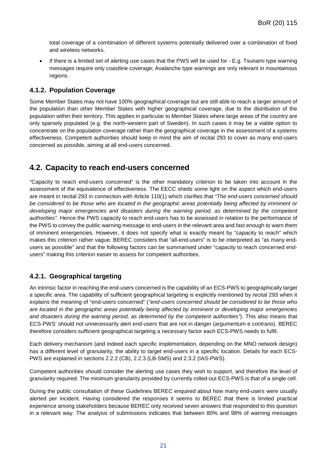total coverage of a combination of different systems potentially delivered over a combination of fixed and wireless networks.

• If there is a limited set of alerting use cases that the PWS will be used for - E.g. Tsunami type warning messages require only coastline coverage; Avalanche type warnings are only relevant in mountainous regions.

### <span id="page-21-0"></span>**4.1.2. Population Coverage**

Some Member States may not have 100% geographical coverage but are still able to reach a larger amount of the population than other Member States with higher geographical coverage, due to the distribution of the population within their territory. This applies in particular to Member States where large areas of the country are only sparsely populated (e.g. the north-western part of Sweden). In such cases it may be a viable option to concentrate on the population coverage rather than the geographical coverage in the assessment of a systems effectiveness. Competent authorities should keep in mind the aim of recital 293 to cover as many end-users concerned as possible, aiming at all end-users concerned.

# <span id="page-21-1"></span>**4.2. Capacity to reach end-users concerned**

"Capacity to reach end-users concerned" is the other mandatory criterion to be taken into account in the assessment of the equivalence of effectiveness. The EECC sheds some light on the aspect which end-users are meant in recital 293 in connection with Article 110(1) which clarifies that *"The end-users concerned should be considered to be those who are located in the geographic areas potentially being affected by imminent or developing major emergencies and disasters during the warning period, as determined by the competent authorities"*. Hence the PWS capacity to reach end-users has to be assessed in relation to the performance of the PWS to convey the public warning message to end-users in the relevant area and fast enough to warn them of imminent emergencies. However, it does not specify what is exactly meant by "capacity to reach" which makes this criterion rather vague. BEREC considers that "all-end-users" is to be interpreted as "as many endusers as possible" and that the following factors can be summarised under "capacity to reach concerned endusers" making this criterion easier to assess for competent authorities.

### <span id="page-21-2"></span>**4.2.1. Geographical targeting**

An intrinsic factor in reaching the end-users concerned is the capability of an ECS-PWS to geographically target a specific area. The capability of sufficient geographical targeting is explicitly mentioned by recital 293 when it explains the meaning of "end-users concerned" (*"end-users concerned should be considered to be those who are located in the geographic areas potentially being affected by imminent or developing major emergencies and disasters during the warning period, as determined by the competent authorities"*). This also means that ECS-PWS' should not unnecessarily alert end-users that are not in danger (argumentum e contrario). BEREC therefore considers sufficient geographical targeting a necessary factor each ECS-PWS needs to fulfil.

Each delivery mechanism (and indeed each specific implementation, depending on the MNO network design) has a different level of granularity, the ability to target end-users in a specific location. Details for each ECS-PWS are explained in sections [2.2.2](#page-9-0) (CB), [2.2.3](#page-11-0) (LB-SMS) and [2.3.2](#page-14-0) (IAS-PWS).

Competent authorities should consider the alerting use cases they wish to support, and therefore the level of granularity required. The minimum granularity provided by currently rolled-out ECS-PWS is that of a single cell.

During the public consultation of these Guidelines BEREC enquired about how many end-users were usually alerted per incident. Having considered the responses it seems to BEREC that there is limited practical experience among stakeholders because BEREC only received seven answers that responded to this question in a relevant way. The analysis of submissions indicates that between 80% and 98% of warning messages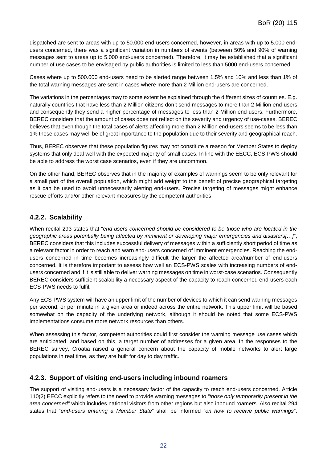dispatched are sent to areas with up to 50.000 end-users concerned, however, in areas with up to 5.000 endusers concerned, there was a significant variation in numbers of events (between 50% and 90% of warning messages sent to areas up to 5.000 end-users concerned). Therefore, it may be established that a significant number of use cases to be envisaged by public authorities is limited to less than 5000 end-users concerned.

Cases where up to 500.000 end-users need to be alerted range between 1,5% and 10% and less than 1% of the total warning messages are sent in cases where more than 2 Million end-users are concerned.

The variations in the percentages may to some extent be explained through the different sizes of countries. E.g. naturally countries that have less than 2 Million citizens don't send messages to more than 2 Million end-users and consequently they send a higher percentage of messages to less than 2 Million end-users. Furthermore, BEREC considers that the amount of cases does not reflect on the severity and urgency of use-cases. BEREC believes that even though the total cases of alerts affecting more than 2 Million end-users seems to be less than 1% these cases may well be of great importance to the population due to their severity and geographical reach.

Thus, BEREC observes that these population figures may not constitute a reason for Member States to deploy systems that only deal well with the expected majority of small cases. In line with the EECC, ECS-PWS should be able to address the worst case scenarios, even if they are uncommon.

On the other hand, BEREC observes that in the majority of examples of warnings seem to be only relevant for a small part of the overall population, which might add weight to the benefit of precise geographical targeting as it can be used to avoid unnecessarily alerting end-users. Precise targeting of messages might enhance rescue efforts and/or other relevant measures by the competent authorities.

### <span id="page-22-0"></span>**4.2.2. Scalability**

When recital 293 states that "*end-users concerned should be considered to be those who are located in the geographic areas potentially being affected by imminent or developing major emergencies and disasters[…]*", BEREC considers that this includes successful delivery of messages within a sufficiently short period of time as a relevant factor in order to reach and warn end-users concerned of imminent emergencies. Reaching the endusers concerned in time becomes increasingly difficult the larger the affected area/number of end-users concerned. It is therefore important to assess how well an ECS-PWS scales with increasing numbers of endusers concerned and if it is still able to deliver warning messages on time in worst-case scenarios. Consequently BEREC considers sufficient scalability a necessary aspect of the capacity to reach concerned end-users each ECS-PWS needs to fulfil.

Any ECS-PWS system will have an upper limit of the number of devices to which it can send warning messages per second, or per minute in a given area or indeed across the entire network. This upper limit will be based somewhat on the capacity of the underlying network, although it should be noted that some ECS-PWS implementations consume more network resources than others.

When assessing this factor, competent authorities could first consider the warning message use cases which are anticipated, and based on this, a target number of addresses for a given area. In the responses to the BEREC survey, Croatia raised a general concern about the capacity of mobile networks to alert large populations in real time, as they are built for day to day traffic.

### <span id="page-22-1"></span>**4.2.3. Support of visiting end-users including inbound roamers**

The support of visiting end-users is a necessary factor of the capacity to reach end-users concerned. Article 110(2) EECC explicitly refers to the need to provide warning messages to *"those only temporarily present in the area concerned"* which includes national visitors from other regions but also inbound roamers*.* Also recital 294 states that "*end-users entering a Member State*" shall be informed "*on how to receive public warnings*".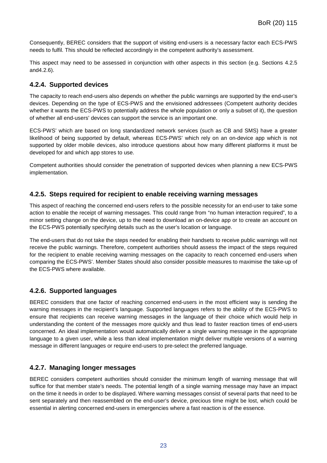Consequently, BEREC considers that the support of visiting end-users is a necessary factor each ECS-PWS needs to fulfil. This should be reflected accordingly in the competent authority's assessment.

This aspect may need to be assessed in conjunction with other aspects in this section (e.g. Sections [4.2.5](#page-23-1) an[d4.2.6\)](#page-23-2).

### <span id="page-23-0"></span>**4.2.4. Supported devices**

The capacity to reach end-users also depends on whether the public warnings are supported by the end-user's devices. Depending on the type of ECS-PWS and the envisioned addressees (Competent authority decides whether it wants the ECS-PWS to potentially address the whole population or only a subset of it), the question of whether all end-users' devices can support the service is an important one.

ECS-PWS' which are based on long standardized network services (such as CB and SMS) have a greater likelihood of being supported by default, whereas ECS-PWS' which rely on an on-device app which is not supported by older mobile devices, also introduce questions about how many different platforms it must be developed for and which app stores to use.

Competent authorities should consider the penetration of supported devices when planning a new ECS-PWS implementation.

#### <span id="page-23-1"></span>**4.2.5. Steps required for recipient to enable receiving warning messages**

This aspect of reaching the concerned end-users refers to the possible necessity for an end-user to take some action to enable the receipt of warning messages. This could range from "no human interaction required", to a minor setting change on the device, up to the need to download an on-device app or to create an account on the ECS-PWS potentially specifying details such as the user's location or language.

The end-users that do not take the steps needed for enabling their handsets to receive public warnings will not receive the public warnings. Therefore, competent authorities should assess the impact of the steps required for the recipient to enable receiving warning messages on the capacity to reach concerned end-users when comparing the ECS-PWS'. Member States should also consider possible measures to maximise the take-up of the ECS-PWS where available.

### <span id="page-23-2"></span>**4.2.6. Supported languages**

BEREC considers that one factor of reaching concerned end-users in the most efficient way is sending the warning messages in the recipient's language. Supported languages refers to the ability of the ECS-PWS to ensure that recipients can receive warning messages in the language of their choice which would help in understanding the content of the messages more quickly and thus lead to faster reaction times of end-users concerned. An ideal implementation would automatically deliver a single warning message in the appropriate language to a given user, while a less than ideal implementation might deliver multiple versions of a warning message in different languages or require end-users to pre-select the preferred language.

### <span id="page-23-3"></span>**4.2.7. Managing longer messages**

BEREC considers competent authorities should consider the minimum length of warning message that will suffice for that member state's needs. The potential length of a single warning message may have an impact on the time it needs in order to be displayed. Where warning messages consist of several parts that need to be sent separately and then reassembled on the end-user's device, precious time might be lost, which could be essential in alerting concerned end-users in emergencies where a fast reaction is of the essence.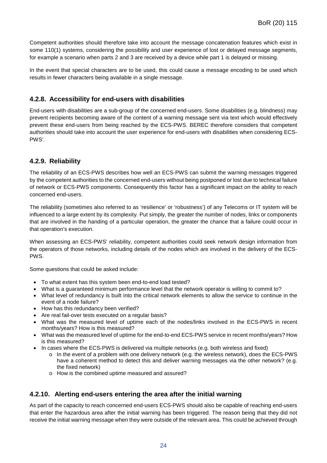Competent authorities should therefore take into account the message concatenation features which exist in some 110(1) systems, considering the possibility and user experience of lost or delayed message segments, for example a scenario when parts 2 and 3 are received by a device while part 1 is delayed or missing.

In the event that special characters are to be used, this could cause a message encoding to be used which results in fewer characters being available in a single message.

### <span id="page-24-0"></span>**4.2.8. Accessibility for end-users with disabilities**

End-users with disabilities are a sub-group of the concerned end-users. Some disabilities (e.g. blindness) may prevent recipients becoming aware of the content of a warning message sent via text which would effectively prevent these end-users from being reached by the ECS-PWS. BEREC therefore considers that competent authorities should take into account the user experience for end-users with disabilities when considering ECS-PWS'.

### <span id="page-24-1"></span>**4.2.9. Reliability**

The reliability of an ECS-PWS describes how well an ECS-PWS can submit the warning messages triggered by the competent authorities to the concerned end-users without being postponed or lost due to technical failure of network or ECS-PWS components. Consequently this factor has a significant impact on the ability to reach concerned end-users.

The reliability (sometimes also referred to as 'resilience' or 'robustness') of any Telecoms or IT system will be influenced to a large extent by its complexity. Put simply, the greater the number of nodes, links or components that are involved in the handing of a particular operation, the greater the chance that a failure could occur in that operation's execution.

When assessing an ECS-PWS' reliability, competent authorities could seek network design information from the operators of those networks, including details of the nodes which are involved in the delivery of the ECS-PWS.

Some questions that could be asked include:

- To what extent has this system been end-to-end load tested?
- What is a guaranteed minimum performance level that the network operator is willing to commit to?
- What level of redundancy is built into the critical network elements to allow the service to continue in the event of a node failure?
- How has this redundancy been verified?
- Are real fail-over tests executed on a regular basis?
- What was the measured level of uptime each of the nodes/links involved in the ECS-PWS in recent months/years? How is this measured?
- What was the measured level of uptime for the end-to-end ECS-PWS service in recent months/years? How is this measured?
- In cases where the ECS-PWS is delivered via multiple networks (e.g. both wireless and fixed)
	- $\circ$  In the event of a problem with one delivery network (e.g. the wireless network), does the ECS-PWS have a coherent method to detect this and deliver warning messages via the other network? (e.g. the fixed network)
	- o How is the combined uptime measured and assured?

### <span id="page-24-2"></span>**4.2.10. Alerting end-users entering the area after the initial warning**

As part of the capacity to reach concerned end-users ECS-PWS should also be capable of reaching end-users that enter the hazardous area after the initial warning has been triggered. The reason being that they did not receive the initial warning message when they were outside of the relevant area. This could be achieved through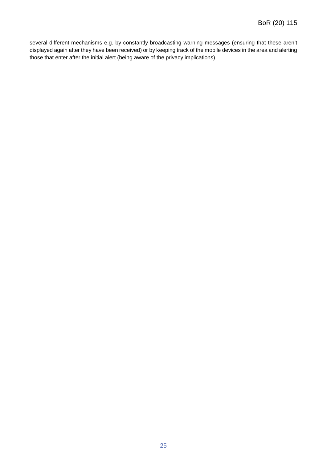several different mechanisms e.g. by constantly broadcasting warning messages (ensuring that these aren't displayed again after they have been received) or by keeping track of the mobile devices in the area and alerting those that enter after the initial alert (being aware of the privacy implications).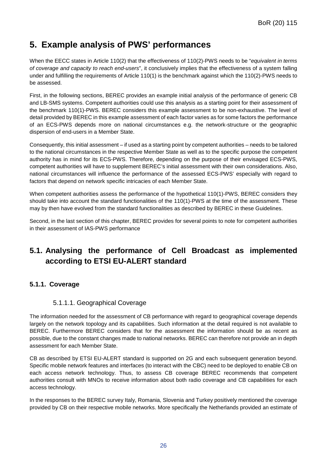# <span id="page-26-0"></span>**5. Example analysis of PWS' performances**

When the EECC states in Article 110(2) that the effectiveness of 110(2)-PWS needs to be "*equivalent in terms of coverage and capacity to reach end-users*", it conclusively implies that the effectiveness of a system falling under and fulfilling the requirements of Article 110(1) is the benchmark against which the 110(2)-PWS needs to be assessed.

First, in the following sections, BEREC provides an example initial analysis of the performance of generic CB and LB-SMS systems. Competent authorities could use this analysis as a starting point for their assessment of the benchmark 110(1)-PWS. BEREC considers this example assessment to be non-exhaustive. The level of detail provided by BEREC in this example assessment of each factor varies as for some factors the performance of an ECS-PWS depends more on national circumstances e.g. the network-structure or the geographic dispersion of end-users in a Member State.

Consequently, this initial assessment – if used as a starting point by competent authorities – needs to be tailored to the national circumstances in the respective Member State as well as to the specific purpose the competent authority has in mind for its ECS-PWS. Therefore, depending on the purpose of their envisaged ECS-PWS, competent authorities will have to supplement BEREC's initial assessment with their own considerations. Also, national circumstances will influence the performance of the assessed ECS-PWS' especially with regard to factors that depend on network specific intricacies of each Member State.

When competent authorities assess the performance of the hypothetical 110(1)-PWS, BEREC considers they should take into account the standard functionalities of the 110(1)-PWS at the time of the assessment. These may by then have evolved from the standard functionalities as described by BEREC in these Guidelines.

Second, in the last section of this chapter, BEREC provides for several points to note for competent authorities in their assessment of IAS-PWS performance

# <span id="page-26-1"></span>**5.1. Analysing the performance of Cell Broadcast as implemented according to ETSI EU-ALERT standard**

### <span id="page-26-2"></span>**5.1.1. Coverage**

### 5.1.1.1. Geographical Coverage

The information needed for the assessment of CB performance with regard to geographical coverage depends largely on the network topology and its capabilities. Such information at the detail required is not available to BEREC. Furthermore BEREC considers that for the assessment the information should be as recent as possible, due to the constant changes made to national networks. BEREC can therefore not provide an in depth assessment for each Member State.

CB as described by ETSI EU-ALERT standard is supported on 2G and each subsequent generation beyond. Specific mobile network features and interfaces (to interact with the CBC) need to be deployed to enable CB on each access network technology. Thus, to assess CB coverage BEREC recommends that competent authorities consult with MNOs to receive information about both radio coverage and CB capabilities for each access technology.

In the responses to the BEREC survey Italy, Romania, Slovenia and Turkey positively mentioned the coverage provided by CB on their respective mobile networks. More specifically the Netherlands provided an estimate of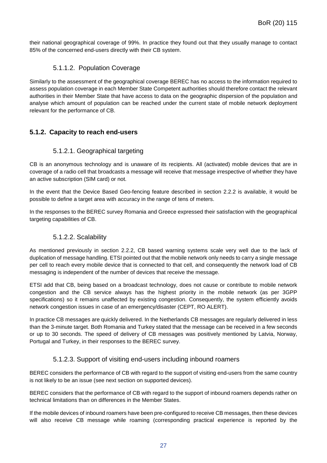their national geographical coverage of 99%. In practice they found out that they usually manage to contact 85% of the concerned end-users directly with their CB system.

#### 5.1.1.2. Population Coverage

Similarly to the assessment of the geographical coverage BEREC has no access to the information required to assess population coverage in each Member State Competent authorities should therefore contact the relevant authorities in their Member State that have access to data on the geographic dispersion of the population and analyse which amount of population can be reached under the current state of mobile network deployment relevant for the performance of CB.

### <span id="page-27-0"></span>**5.1.2. Capacity to reach end-users**

#### 5.1.2.1. Geographical targeting

CB is an anonymous technology and is unaware of its recipients. All (activated) mobile devices that are in coverage of a radio cell that broadcasts a message will receive that message irrespective of whether they have an active subscription (SIM card) or not.

In the event that the Device Based Geo-fencing feature described in section [2.2.2](#page-9-0) is available, it would be possible to define a target area with accuracy in the range of tens of meters.

In the responses to the BEREC survey Romania and Greece expressed their satisfaction with the geographical targeting capabilities of CB.

### 5.1.2.2. Scalability

As mentioned previously in section [2.2.2,](#page-9-0) CB based warning systems scale very well due to the lack of duplication of message handling. ETSI pointed out that the mobile network only needs to carry a single message per cell to reach every mobile device that is connected to that cell, and consequently the network load of CB messaging is independent of the number of devices that receive the message.

ETSI add that CB, being based on a broadcast technology, does not cause or contribute to mobile network congestion and the CB service always has the highest priority in the mobile network (as per 3GPP specifications) so it remains unaffected by existing congestion. Consequently, the system efficiently avoids network congestion issues in case of an emergency/disaster (CEPT, RO ALERT).

In practice CB messages are quickly delivered. In the Netherlands CB messages are regularly delivered in less than the 3-minute target. Both Romania and Turkey stated that the message can be received in a few seconds or up to 30 seconds. The speed of delivery of CB messages was positively mentioned by Latvia, Norway, Portugal and Turkey, in their responses to the BEREC survey.

### 5.1.2.3. Support of visiting end-users including inbound roamers

BEREC considers the performance of CB with regard to the support of visiting end-users from the same country is not likely to be an issue (see next section on supported devices).

BEREC considers that the performance of CB with regard to the support of inbound roamers depends rather on technical limitations than on differences in the Member States.

If the mobile devices of inbound roamers have been pre-configured to receive CB messages, then these devices will also receive CB message while roaming (corresponding practical experience is reported by the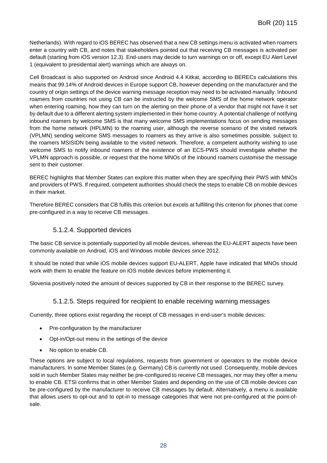Netherlands). With regard to iOS BEREC has observed that a new CB settings menu is activated when roamers enter a country with CB, and notes that stakeholders pointed out that receiving CB messages is activated per default (starting from iOS version 12.3). End-users may decide to turn warnings on or off, except EU Alert Level 1 (equivalent to presidential alert) warnings which are always on.

Cell Broadcast is also supported on Android since Android 4.4 Kitkat, according to BERECs calculations this means that 99.14% of Android devices in Europe support CB, however depending on the manufacturer and the country of origin settings of the device warning message reception may need to be activated manually. Inbound roamers from countries not using CB can be instructed by the welcome SMS of the home network operator when entering roaming, how they can turn on the alerting on their phone of a vendor that might not have it set by default due to a different alerting system implemented in their home country. A potential challenge of notifying inbound roamers by welcome SMS is that many welcome SMS implementations focus on sending messages from the home network (HPLMN) to the roaming user, although the reverse scenario of the visited network (VPLMN) sending welcome SMS messages to roamers as they arrive is also sometimes possible, subject to the roamers MSISIDN being available to the visited network. Therefore, a competent authority wishing to use welcome SMS to notify inbound roamers of the existence of an ECS-PWS should investigate whether the VPLMN approach is possible, or request that the home MNOs of the inbound roamers customise the message sent to their customer.

BEREC highlights that Member States can explore this matter when they are specifying their PWS with MNOs and providers of PWS. If required, competent authorities should check the steps to enable CB on mobile devices in their market.

Therefore BEREC considers that CB fulfils this criterion but excels at fulfilling this criterion for phones that come pre-configured in a way to receive CB messages.

### 5.1.2.4. Supported devices

The basic CB service is potentially supported by all mobile devices, whereas the EU-ALERT aspects have been commonly available on Android, iOS and Windows mobile devices since 2012.

It should be noted that while iOS mobile devices support EU-ALERT, Apple have indicated that MNOs should work with them to enable the feature on iOS mobile devices before implementing it.

Slovenia positively noted the amount of devices supported by CB in their response to the BEREC survey.

#### 5.1.2.5. Steps required for recipient to enable receiving warning messages

Currently, three options exist regarding the receipt of CB messages in end-user's mobile devices:

- Pre-configuration by the manufacturer
- Opt-in/Opt-out menu in the settings of the device
- No option to enable CB.

These options are subject to local regulations, requests from government or operators to the mobile device manufacturers. In some Member States (e.g. Germany) CB is currently not used. Consequently, mobile devices sold in such Member States may neither be pre-configured to receive CB messages, nor may they offer a menu to enable CB. ETSI confirms that in other Member States and depending on the use of CB mobile devices can be pre-configured by the manufacturer to receive CB messages by default. Alternatively, a menu is available that allows users to opt-out and to opt-in to message categories that were not pre-configured at the point-ofsale.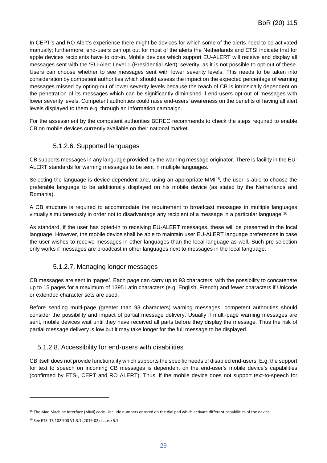In CEPT's and RO Alert's experience there might be devices for which some of the alerts need to be activated manually; furthermore, end-users can opt out for most of the alerts the Netherlands and ETSI indicate that for apple devices recipients have to opt-in. Mobile devices which support EU-ALERT will receive and display all messages sent with the 'EU-Alert Level 1 (Presidential Alert)' severity, as it is not possible to opt-out of these. Users can choose whether to see messages sent with lower severity levels. This needs to be taken into consideration by competent authorities which should assess the impact on the expected percentage of warning messages missed by opting-out of lower severity levels because the reach of CB is intrinsically dependent on the penetration of its messages which can be significantly diminished if end-users opt-out of messages with lower severity levels. Competent authorities could raise end-users' awareness on the benefits of having all alert levels displayed to them e.g. through an information campaign.

For the assessment by the competent authorities BEREC recommends to check the steps required to enable CB on mobile devices currently available on their national market.

#### 5.1.2.6. Supported languages

CB supports messages in any language provided by the warning message originator. There is facility in the EU-ALERT standards for warning messages to be sent in multiple languages.

Selecting the language is device dependent and, using an appropriate MMI<sup>[15](#page-29-0)</sup>, the user is able to choose the preferable language to be additionally displayed on his mobile device (as stated by the Netherlands and Romania).

A CB structure is required to accommodate the requirement to broadcast messages in multiple languages virtually simultaneously in order not to disadvantage any recipient of a message in a particular language.[16](#page-29-1)

As standard, if the user has opted-in to receiving EU-ALERT messages, these will be presented in the local language. However, the mobile device shall be able to maintain user EU-ALERT language preferences in case the user wishes to receive messages in other languages than the local language as well. Such pre-selection only works if messages are broadcast in other languages next to messages in the local language.

### 5.1.2.7. Managing longer messages

CB messages are sent in 'pages'. Each page can carry up to 93 characters, with the possibility to concatenate up to 15 pages for a maximum of 1395 Latin characters (e.g. English, French) and fewer characters if Unicode or extended character sets are used.

Before sending multi-page (greater than 93 characters) warning messages, competent authorities should consider the possibility and impact of partial message delivery. Usually if multi-page warning messages are sent, mobile devices wait until they have received all parts before they display the message. Thus the risk of partial message delivery is low but it may take longer for the full message to be displayed.

### 5.1.2.8. Accessibility for end-users with disabilities

CB itself does not provide functionality which supports the specific needs of disabled end-users. E.g. the support for text to speech on incoming CB messages is dependent on the end-user's mobile device's capabilities (confirmed by ETSI, CEPT and RO ALERT). Thus, if the mobile device does not support text-to-speech for

-

<span id="page-29-0"></span><sup>&</sup>lt;sup>15</sup> The Man Machine Interface (MMI) code - include numbers entered on the dial pad which activate different capabilities of the device

<span id="page-29-1"></span><sup>16</sup> See ETSI TS 102 900 V1.3.1 (2019-02) clause 5.1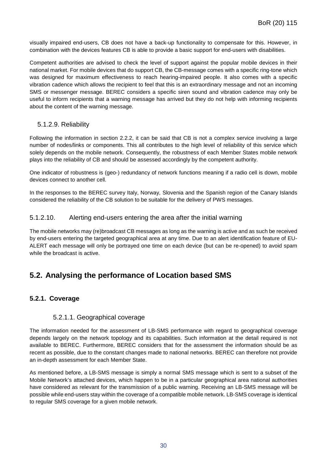visually impaired end-users, CB does not have a back-up functionality to compensate for this. However, in combination with the devices features CB is able to provide a basic support for end-users with disabilities.

Competent authorities are advised to check the level of support against the popular mobile devices in their national market. For mobile devices that do support CB, the CB-message comes with a specific ring-tone which was designed for maximum effectiveness to reach hearing-impaired people. It also comes with a specific vibration cadence which allows the recipient to feel that this is an extraordinary message and not an incoming SMS or messenger message. BEREC considers a specific siren sound and vibration cadence may only be useful to inform recipients that a warning message has arrived but they do not help with informing recipients about the content of the warning message.

#### 5.1.2.9. Reliability

Following the information in section [2.2.2,](#page-9-0) it can be said that CB is not a complex service involving a large number of nodes/links or components. This all contributes to the high level of reliability of this service which solely depends on the mobile network. Consequently, the robustness of each Member States mobile network plays into the reliability of CB and should be assessed accordingly by the competent authority.

One indicator of robustness is (geo-) redundancy of network functions meaning if a radio cell is down, mobile devices connect to another cell.

In the responses to the BEREC survey Italy, Norway, Slovenia and the Spanish region of the Canary Islands considered the reliability of the CB solution to be suitable for the delivery of PWS messages.

#### 5.1.2.10. Alerting end-users entering the area after the initial warning

The mobile networks may (re)broadcast CB messages as long as the warning is active and as such be received by end-users entering the targeted geographical area at any time. Due to an alert identification feature of EU-ALERT each message will only be portrayed one time on each device (but can be re-opened) to avoid spam while the broadcast is active.

# <span id="page-30-0"></span>**5.2. Analysing the performance of Location based SMS**

### <span id="page-30-1"></span>**5.2.1. Coverage**

#### 5.2.1.1. Geographical coverage

The information needed for the assessment of LB-SMS performance with regard to geographical coverage depends largely on the network topology and its capabilities. Such information at the detail required is not available to BEREC. Furthermore, BEREC considers that for the assessment the information should be as recent as possible, due to the constant changes made to national networks. BEREC can therefore not provide an in-depth assessment for each Member State.

As mentioned before, a LB-SMS message is simply a normal SMS message which is sent to a subset of the Mobile Network's attached devices, which happen to be in a particular geographical area national authorities have considered as relevant for the transmission of a public warning. Receiving an LB-SMS message will be possible while end-users stay within the coverage of a compatible mobile network. LB-SMS coverage is identical to regular SMS coverage for a given mobile network.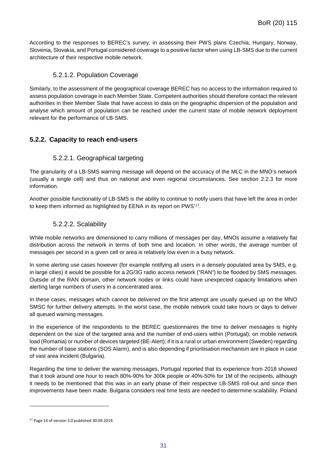According to the responses to BEREC's survey, in assessing their PWS plans Czechia, Hungary, Norway, Slovenia, Slovakia, and Portugal considered coverage to a positive factor when using LB-SMS due to the current architecture of their respective mobile network.

### 5.2.1.2. Population Coverage

Similarly, to the assessment of the geographical coverage BEREC has no access to the information required to assess population coverage in each Member State. Competent authorities should therefore contact the relevant authorities in their Member State that have access to data on the geographic dispersion of the population and analyse which amount of population can be reached under the current state of mobile network deployment relevant for the performance of LB-SMS.

### <span id="page-31-0"></span>**5.2.2. Capacity to reach end-users**

### 5.2.2.1. Geographical targeting

The granularity of a LB-SMS warning message will depend on the accuracy of the MLC in the MNO's network (usually a single cell) and thus on national and even regional circumstances. See section [2.2.3](#page-11-0) for more information.

Another possible functionality of LB-SMS is the ability to continue to notify users that have left the area in order to keep them informed as highlighted by EENA in its report on PWS'[17](#page-31-1).

#### 5.2.2.2. Scalability

While mobile networks are dimensioned to carry millions of messages per day, MNOs assume a relatively flat distribution across the network in terms of both time and location. In other words, the average number of messages per second in a given cell or area is relatively low even in a busy network.

In some alerting use cases however (for example notifying all users in a densely populated area by SMS, e.g. in large cities) it would be possible for a 2G/3G radio access network ("RAN") to be flooded by SMS messages. Outside of the RAN domain, other network nodes or links could have unexpected capacity limitations when alerting large numbers of users in a concentrated area.

In these cases, messages which cannot be delivered on the first attempt are usually queued up on the MNO SMSC for further delivery attempts. In the worst case, the mobile network could take hours or days to deliver all queued warning messages.

In the experience of the respondents to the BEREC questionnaires the time to deliver messages is highly dependent on the size of the targeted area and the number of end-users within (Portugal); on mobile network load (Romania) or number of devices targeted (BE-Alert); if it is a rural or urban environment (Sweden) regarding the number of base stations (SOS Alarm), and is also depending if prioritisation mechanism are in place in case of vast area incident (Bulgaria).

Regarding the time to deliver the warning messages, Portugal reported that its experience from 2018 showed that it took around one hour to reach 80%-90% for 300k people or 40%-50% for 1M of the recipients, although it needs to be mentioned that this was in an early phase of their respective LB-SMS roll-out and since then improvements have been made. Bulgaria considers real time tests are needed to determine scalability. Poland

-

<span id="page-31-1"></span><sup>17</sup> Page 14 of version 3.0 published 30.09.2019.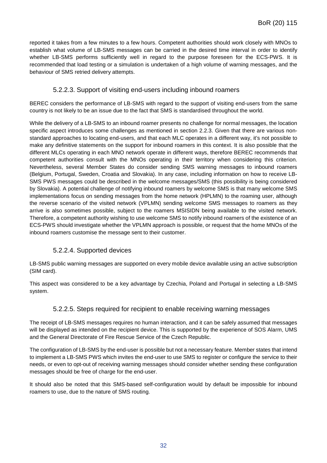reported it takes from a few minutes to a few hours. Competent authorities should work closely with MNOs to establish what volume of LB-SMS messages can be carried in the desired time interval in order to identify whether LB-SMS performs sufficiently well in regard to the purpose foreseen for the ECS-PWS. It is recommended that load testing or a simulation is undertaken of a high volume of warning messages, and the behaviour of SMS retried delivery attempts.

### 5.2.2.3. Support of visiting end-users including inbound roamers

BEREC considers the performance of LB-SMS with regard to the support of visiting end-users from the same country is not likely to be an issue due to the fact that SMS is standardised throughout the world.

While the delivery of a LB-SMS to an inbound roamer presents no challenge for normal messages, the location specific aspect introduces some challenges as mentioned in section [2.2.3.](#page-11-0) Given that there are various nonstandard approaches to locating end-users, and that each MLC operates in a different way, it's not possible to make any definitive statements on the support for inbound roamers in this context. It is also possible that the different MLCs operating in each MNO network operate in different ways, therefore BEREC recommends that competent authorities consult with the MNOs operating in their territory when considering this criterion. Nevertheless, several Member States do consider sending SMS warning messages to inbound roamers (Belgium, Portugal, Sweden, Croatia and Slovakia). In any case, including information on how to receive LB-SMS PWS messages could be described in the welcome messages/SMS (this possibility is being considered by Slovakia). A potential challenge of notifying inbound roamers by welcome SMS is that many welcome SMS implementations focus on sending messages from the home network (HPLMN) to the roaming user, although the reverse scenario of the visited network (VPLMN) sending welcome SMS messages to roamers as they arrive is also sometimes possible, subject to the roamers MSISIDN being available to the visited network. Therefore, a competent authority wishing to use welcome SMS to notify inbound roamers of the existence of an ECS-PWS should investigate whether the VPLMN approach is possible, or request that the home MNOs of the inbound roamers customise the message sent to their customer.

### 5.2.2.4. Supported devices

LB-SMS public warning messages are supported on every mobile device available using an active subscription (SIM card).

This aspect was considered to be a key advantage by Czechia, Poland and Portugal in selecting a LB-SMS system.

### 5.2.2.5. Steps required for recipient to enable receiving warning messages

The receipt of LB-SMS messages requires no human interaction, and it can be safely assumed that messages will be displayed as intended on the recipient device. This is supported by the experience of SOS Alarm, UMS and the General Directorate of Fire Rescue Service of the Czech Republic.

The configuration of LB-SMS by the end-user is possible but not a necessary feature. Member states that intend to implement a LB-SMS PWS which invites the end-user to use SMS to register or configure the service to their needs, or even to opt-out of receiving warning messages should consider whether sending these configuration messages should be free of charge for the end-user.

It should also be noted that this SMS-based self-configuration would by default be impossible for inbound roamers to use, due to the nature of SMS routing.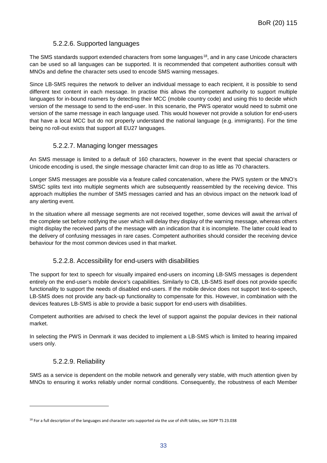### 5.2.2.6. Supported languages

The SMS standards support extended characters from some languages<sup>18</sup>, and in any case Unicode characters can be used so all languages can be supported. It is recommended that competent authorities consult with MNOs and define the character sets used to encode SMS warning messages.

Since LB-SMS requires the network to deliver an individual message to each recipient, it is possible to send different text content in each message. In practise this allows the competent authority to support multiple languages for in-bound roamers by detecting their MCC (mobile country code) and using this to decide which version of the message to send to the end-user. In this scenario, the PWS operator would need to submit one version of the same message in each language used. This would however not provide a solution for end-users that have a local MCC but do not properly understand the national language (e.g. immigrants). For the time being no roll-out exists that support all EU27 languages.

### 5.2.2.7. Managing longer messages

An SMS message is limited to a default of 160 characters, however in the event that special characters or Unicode encoding is used, the single message character limit can drop to as little as 70 characters.

Longer SMS messages are possible via a feature called concatenation, where the PWS system or the MNO's SMSC splits text into multiple segments which are subsequently reassembled by the receiving device. This approach multiplies the number of SMS messages carried and has an obvious impact on the network load of any alerting event.

In the situation where all message segments are not received together, some devices will await the arrival of the complete set before notifying the user which will delay they display of the warning message, whereas others might display the received parts of the message with an indication that it is incomplete. The latter could lead to the delivery of confusing messages in rare cases. Competent authorities should consider the receiving device behaviour for the most common devices used in that market.

#### 5.2.2.8. Accessibility for end-users with disabilities

The support for text to speech for visually impaired end-users on incoming LB-SMS messages is dependent entirely on the end-user's mobile device's capabilities. Similarly to CB, LB-SMS itself does not provide specific functionality to support the needs of disabled end-users. If the mobile device does not support text-to-speech, LB-SMS does not provide any back-up functionality to compensate for this. However, in combination with the devices features LB-SMS is able to provide a basic support for end-users with disabilities.

Competent authorities are advised to check the level of support against the popular devices in their national market.

In selecting the PWS in Denmark it was decided to implement a LB-SMS which is limited to hearing impaired users only.

#### 5.2.2.9. Reliability

-

SMS as a service is dependent on the mobile network and generally very stable, with much attention given by MNOs to ensuring it works reliably under normal conditions. Consequently, the robustness of each Member

<span id="page-33-0"></span> $18$  For a full description of the languages and character sets supported via the use of shift tables, see 3GPP TS 23.038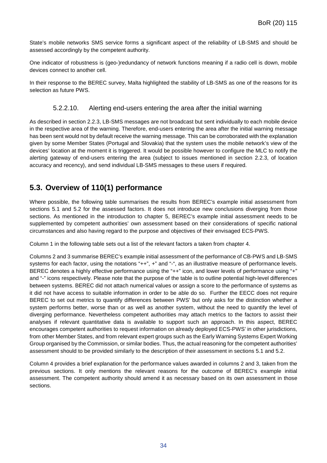State's mobile networks SMS service forms a significant aspect of the reliability of LB-SMS and should be assessed accordingly by the competent authority.

One indicator of robustness is (geo-)redundancy of network functions meaning if a radio cell is down, mobile devices connect to another cell.

In their response to the BEREC survey, Malta highlighted the stability of LB-SMS as one of the reasons for its selection as future PWS.

### 5.2.2.10. Alerting end-users entering the area after the initial warning

As described in section [2.2.3,](#page-11-0) LB-SMS messages are not broadcast but sent individually to each mobile device in the respective area of the warning. Therefore, end-users entering the area after the initial warning message has been sent would not by default receive the warning message. This can be corroborated with the explanation given by some Member States (Portugal and Slovakia) that the system uses the mobile network's view of the devices' location at the moment it is triggered. It would be possible however to configure the MLC to notify the alerting gateway of end-users entering the area (subject to issues mentioned in section [2.2.3,](#page-11-0) of location accuracy and recency), and send individual LB-SMS messages to these users if required.

# <span id="page-34-0"></span>**5.3. Overview of 110(1) performance**

Where possible, the following table summarises the results from BEREC's example initial assessment from sections [5.1](#page-26-1) and [5.2](#page-30-0) for the assessed factors. It does not introduce new conclusions diverging from those sections. As mentioned in the introduction to chapter [5,](#page-26-0) BEREC's example initial assessment needs to be supplemented by competent authorities' own assessment based on their considerations of specific national circumstances and also having regard to the purpose and objectives of their envisaged ECS-PWS.

Column 1 in the following table sets out a list of the relevant factors a taken from chapter [4.](#page-20-0)

Columns 2 and 3 summarise BEREC's example initial assessment of the performance of CB-PWS and LB-SMS systems for each factor, using the notations "++", +" and "-", as an illustrative measure of performance levels. BEREC denotes a highly effective performance using the "++" icon, and lower levels of performance using "+" and "-" icons respectively. Please note that the purpose of the table is to outline potential high-level differences between systems. BEREC did not attach numerical values or assign a score to the performance of systems as it did not have access to suitable information in order to be able do so. Further the EECC does not require BEREC to set out metrics to quantify differences between PWS' but only asks for the distinction whether a system performs better, worse than or as well as another system, without the need to quantify the level of diverging performance. Nevertheless competent authorities may attach metrics to the factors to assist their analyses if relevant quantitative data is available to support such an approach. In this aspect, BEREC encourages competent authorities to request information on already deployed ECS-PWS' in other jurisdictions, from other Member States, and from relevant expert groups such as the Early Warning Systems Expert Working Group organised by the Commission, or similar bodies. Thus, the actual reasoning for the competent authorities' assessment should to be provided similarly to the description of their assessment in sections [5.1](#page-26-1) and [5.2.](#page-30-0)

Column 4 provides a brief explanation for the performance values awarded in columns 2 and 3, taken from the previous sections. It only mentions the relevant reasons for the outcome of BEREC's example initial assessment. The competent authority should amend it as necessary based on its own assessment in those sections.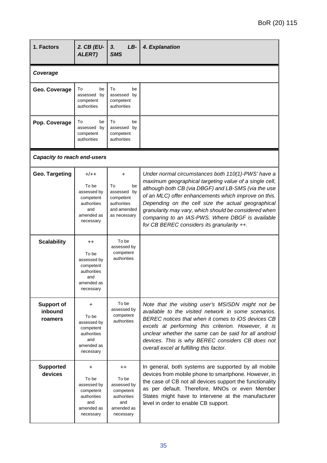| 1. Factors                              | 2. CB (EU-<br>ALERT)                                                                                  | 3.<br>LB-<br><b>SMS</b>                                                                                | 4. Explanation                                                                                                                                                                                                                                                                                                                                                                                                                               |
|-----------------------------------------|-------------------------------------------------------------------------------------------------------|--------------------------------------------------------------------------------------------------------|----------------------------------------------------------------------------------------------------------------------------------------------------------------------------------------------------------------------------------------------------------------------------------------------------------------------------------------------------------------------------------------------------------------------------------------------|
| Coverage                                |                                                                                                       |                                                                                                        |                                                                                                                                                                                                                                                                                                                                                                                                                                              |
| Geo. Coverage                           | To<br>be<br>assessed by<br>competent<br>authorities                                                   | To<br>be<br>assessed by<br>competent<br>authorities                                                    |                                                                                                                                                                                                                                                                                                                                                                                                                                              |
| Pop. Coverage                           | To<br>be<br>assessed by<br>competent<br>authorities                                                   | To<br>be<br>assessed by<br>competent<br>authorities                                                    |                                                                                                                                                                                                                                                                                                                                                                                                                                              |
| <b>Capacity to reach end-users</b>      |                                                                                                       |                                                                                                        |                                                                                                                                                                                                                                                                                                                                                                                                                                              |
| Geo. Targeting                          | $+/++$<br>To be<br>assessed by<br>competent<br>authorities<br>and<br>amended as<br>necessary          | +<br>To<br>be<br>assessed by<br>competent<br>authorities<br>and amended<br>as necessary                | Under normal circumstances both 110(1)-PWS' have a<br>maximum geographical targeting value of a single cell,<br>although both CB (via DBGF) and LB-SMS (via the use<br>of an MLC) offer enhancements which improve on this.<br>Depending on the cell size the actual geographical<br>granularity may vary, which should be considered when<br>comparing to an IAS-PWS. Where DBGF is available<br>for CB BEREC considers its granularity ++. |
| <b>Scalability</b>                      | $^{\mathrm{+}}$<br>To be<br>assessed by<br>competent<br>authorities<br>and<br>amended as<br>necessary | To be<br>assessed by<br>competent<br>authorities                                                       |                                                                                                                                                                                                                                                                                                                                                                                                                                              |
| <b>Support of</b><br>inbound<br>roamers | +<br>To be<br>assessed by<br>competent<br>authorities<br>and<br>amended as<br>necessary               | To be<br>assessed by<br>competent<br>authorities                                                       | Note that the visiting user's MSISDN might not be<br>available to the visited network in some scenarios.<br>BEREC notices that when it comes to iOS devices CB<br>excels at performing this criterion. However, it is<br>unclear whether the same can be said for all android<br>devices. This is why BEREC considers CB does not<br>overall excel at fulfilling this factor.                                                                |
| <b>Supported</b><br>devices             | +<br>To be<br>assessed by<br>competent<br>authorities<br>and<br>amended as<br>necessary               | $^{\mathrm{++}}$<br>To be<br>assessed by<br>competent<br>authorities<br>and<br>amended as<br>necessary | In general, both systems are supported by all mobile<br>devices from mobile phone to smartphone. However, in<br>the case of CB not all devices support the functionality<br>as per default. Therefore, MNOs or even Member<br>States might have to intervene at the manufacturer<br>level in order to enable CB support.                                                                                                                     |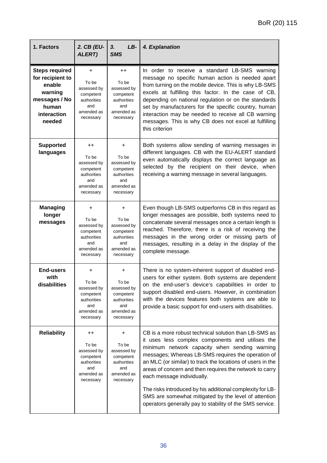| 1. Factors                                                                                                        | 2. CB (EU-<br>ALERT)                                                                                  | $LB-$<br>3.<br><b>SMS</b>                                                                       | 4. Explanation                                                                                                                                                                                                                                                                                                                                                                                                                                                                                                                                           |
|-------------------------------------------------------------------------------------------------------------------|-------------------------------------------------------------------------------------------------------|-------------------------------------------------------------------------------------------------|----------------------------------------------------------------------------------------------------------------------------------------------------------------------------------------------------------------------------------------------------------------------------------------------------------------------------------------------------------------------------------------------------------------------------------------------------------------------------------------------------------------------------------------------------------|
| <b>Steps required</b><br>for recipient to<br>enable<br>warning<br>messages / No<br>human<br>interaction<br>needed | +<br>To be<br>assessed by<br>competent<br>authorities<br>and<br>amended as<br>necessary               | $^{++}$<br>To be<br>assessed by<br>competent<br>authorities<br>and<br>amended as<br>necessary   | In order to receive a standard LB-SMS warning<br>message no specific human action is needed apart<br>from turning on the mobile device. This is why LB-SMS<br>excels at fulfilling this factor. In the case of CB,<br>depending on national regulation or on the standards<br>set by manufacturers for the specific country, human<br>interaction may be needed to receive all CB warning<br>messages. This is why CB does not excel at fulfilling<br>this criterion                                                                                     |
| <b>Supported</b><br>languages                                                                                     | $^{++}$<br>To be<br>assessed by<br>competent<br>authorities<br>and<br>amended as<br>necessary         | $\ddot{}$<br>To be<br>assessed by<br>competent<br>authorities<br>and<br>amended as<br>necessary | Both systems allow sending of warning messages in<br>different languages. CB with the EU-ALERT standard<br>even automatically displays the correct language as<br>selected by the recipient on their device, when<br>receiving a warning message in several languages.                                                                                                                                                                                                                                                                                   |
| <b>Managing</b><br>longer<br>messages                                                                             | +<br>To be<br>assessed by<br>competent<br>authorities<br>and<br>amended as<br>necessary               | +<br>To be<br>assessed by<br>competent<br>authorities<br>and<br>amended as<br>necessary         | Even though LB-SMS outperforms CB in this regard as<br>longer messages are possible, both systems need to<br>concatenate several messages once a certain length is<br>reached. Therefore, there is a risk of receiving the<br>messages in the wrong order or missing parts of<br>messages, resulting in a delay in the display of the<br>complete message.                                                                                                                                                                                               |
| <b>End-users</b><br>with<br>disabilities                                                                          | +<br>To be<br>assessed by<br>competent<br>authorities<br>and<br>amended as<br>necessary               | +<br>To be<br>assessed by<br>competent<br>authorities<br>and<br>amended as<br>necessary         | There is no system-inherent support of disabled end-<br>users for either system. Both systems are dependent<br>on the end-user's device's capabilities in order to<br>support disabled end-users. However, in combination<br>with the devices features both systems are able to<br>provide a basic support for end-users with disabilities.                                                                                                                                                                                                              |
| <b>Reliability</b>                                                                                                | $^{\mathrm{+}}$<br>To be<br>assessed by<br>competent<br>authorities<br>and<br>amended as<br>necessary | +<br>To be<br>assessed by<br>competent<br>authorities<br>and<br>amended as<br>necessary         | CB is a more robust technical solution than LB-SMS as<br>it uses less complex components and utilises the<br>minimum network capacity when sending warning<br>messages; Whereas LB-SMS requires the operation of<br>an MLC (or similar) to track the locations of users in the<br>areas of concern and then requires the network to carry<br>each message individually.<br>The risks introduced by his additional complexity for LB-<br>SMS are somewhat mitigated by the level of attention<br>operators generally pay to stability of the SMS service. |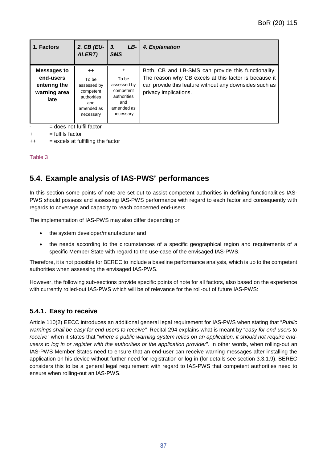| 1. Factors                                                              | 2. CB (EU-<br>ALERT)                                                                       | 3 <sub>1</sub><br>LB-<br><b>SMS</b>                                                       | 4. Explanation                                                                                                                                                                                  |
|-------------------------------------------------------------------------|--------------------------------------------------------------------------------------------|-------------------------------------------------------------------------------------------|-------------------------------------------------------------------------------------------------------------------------------------------------------------------------------------------------|
| <b>Messages to</b><br>end-users<br>entering the<br>warning area<br>late | $++$<br>To be<br>assessed by<br>competent<br>authorities<br>and<br>amended as<br>necessary | $+$<br>To be<br>assessed by<br>competent<br>authorities<br>and<br>amended as<br>necessary | Both, CB and LB-SMS can provide this functionality.<br>The reason why CB excels at this factor is because it<br>can provide this feature without any downsides such as<br>privacy implications. |

 $=$  does not fulfil factor

 $+$  = fulfils factor

++ = excels at fulfilling the factor

Table 3

# <span id="page-37-0"></span>**5.4. Example analysis of IAS-PWS' performances**

In this section some points of note are set out to assist competent authorities in defining functionalities IAS-PWS should possess and assessing IAS-PWS performance with regard to each factor and consequently with regards to coverage and capacity to reach concerned end-users.

The implementation of IAS-PWS may also differ depending on

- the system developer/manufacturer and
- the needs according to the circumstances of a specific geographical region and requirements of a specific Member State with regard to the use-case of the envisaged IAS-PWS.

Therefore, it is not possible for BEREC to include a baseline performance analysis, which is up to the competent authorities when assessing the envisaged IAS-PWS.

However, the following sub-sections provide specific points of note for all factors, also based on the experience with currently rolled-out IAS-PWS which will be of relevance for the roll-out of future IAS-PWS:

### <span id="page-37-1"></span>**5.4.1. Easy to receive**

Article 110(2) EECC introduces an additional general legal requirement for IAS-PWS when stating that "*Public warnings shall be easy for end-users to receive".* Recital 294 explains what is meant by "*easy for end-users to receive"* when it states that "w*here a public warning system relies on an application, it should not require endusers to log in or register with the authorities or the application provider*". In other words, when rolling-out an IAS-PWS Member States need to ensure that an end-user can receive warning messages after installing the application on his device without further need for registration or log-in (for details see section 3.3.1.9). BEREC considers this to be a general legal requirement with regard to IAS-PWS that competent authorities need to ensure when rolling-out an IAS-PWS.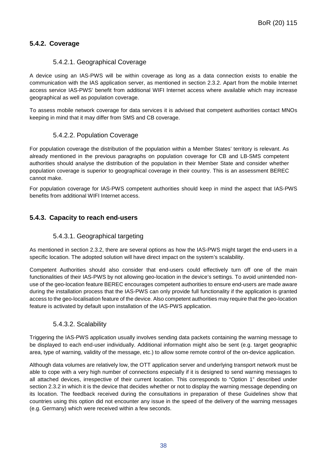## <span id="page-38-0"></span>**5.4.2. Coverage**

### 5.4.2.1. Geographical Coverage

A device using an IAS-PWS will be within coverage as long as a data connection exists to enable the communication with the IAS application server, as mentioned in section [2.3.2.](#page-14-0) Apart from the mobile Internet access service IAS-PWS' benefit from additional WIFI Internet access where available which may increase geographical as well as population coverage.

To assess mobile network coverage for data services it is advised that competent authorities contact MNOs keeping in mind that it may differ from SMS and CB coverage.

#### 5.4.2.2. Population Coverage

For population coverage the distribution of the population within a Member States' territory is relevant. As already mentioned in the previous paragraphs on population coverage for CB and LB-SMS competent authorities should analyse the distribution of the population in their Member State and consider whether population coverage is superior to geographical coverage in their country. This is an assessment BEREC cannot make.

For population coverage for IAS-PWS competent authorities should keep in mind the aspect that IAS-PWS benefits from additional WIFI Internet access.

### <span id="page-38-1"></span>**5.4.3. Capacity to reach end-users**

### 5.4.3.1. Geographical targeting

As mentioned in section [2.3.2,](#page-14-0) there are several options as how the IAS-PWS might target the end-users in a specific location. The adopted solution will have direct impact on the system's scalability.

Competent Authorities should also consider that end-users could effectively turn off one of the main functionalities of their IAS-PWS by not allowing geo-location in the device's settings. To avoid unintended nonuse of the geo-location feature BEREC encourages competent authorities to ensure end-users are made aware during the installation process that the IAS-PWS can only provide full functionality if the application is granted access to the geo-localisation feature of the device. Also competent authorities may require that the geo-location feature is activated by default upon installation of the IAS-PWS application.

### 5.4.3.2. Scalability

Triggering the IAS-PWS application usually involves sending data packets containing the warning message to be displayed to each end-user individually. Additional information might also be sent (e.g. target geographic area, type of warning, validity of the message, etc.) to allow some remote control of the on-device application.

Although data volumes are relatively low, the OTT application server and underlying transport network must be able to cope with a very high number of connections especially if it is designed to send warning messages to all attached devices, irrespective of their current location. This corresponds to "Option 1" described under section [2.3.2](#page-14-0) in which it is the device that decides whether or not to display the warning message depending on its location. The feedback received during the consultations in preparation of these Guidelines show that countries using this option did not encounter any issue in the speed of the delivery of the warning messages (e.g. Germany) which were received within a few seconds.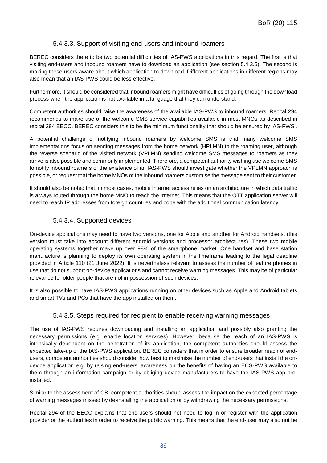### 5.4.3.3. Support of visiting end-users and inbound roamers

BEREC considers there to be two potential difficulties of IAS-PWS applications in this regard. The first is that visiting end-users and inbound roamers have to download an application (see section [5.4.3.5\)](#page-39-0). The second is making these users aware about which application to download. Different applications in different regions may also mean that an IAS-PWS could be less effective.

Furthermore, it should be considered that inbound roamers might have difficulties of going through the download process when the application is not available in a language that they can understand.

Competent authorities should raise the awareness of the available IAS-PWS to inbound roamers. Recital 294 recommends to make use of the welcome SMS service capabilities available in most MNOs as described in recital 294 EECC. BEREC considers this to be the minimum functionality that should be ensured by IAS-PWS'.

A potential challenge of notifying inbound roamers by welcome SMS is that many welcome SMS implementations focus on sending messages from the home network (HPLMN) to the roaming user, although the reverse scenario of the visited network (VPLMN) sending welcome SMS messages to roamers as they arrive is also possible and commonly implemented. Therefore, a competent authority wishing use welcome SMS to notify inbound roamers of the existence of an IAS-PWS should investigate whether the VPLMN approach is possible, or request that the home MNOs of the inbound roamers customise the message sent to their customer.

It should also be noted that, in most cases, mobile Internet access relies on an architecture in which data traffic is always routed through the home MNO to reach the Internet. This means that the OTT application server will need to reach IP addresses from foreign countries and cope with the additional communication latency.

#### 5.4.3.4. Supported devices

On-device applications may need to have two versions, one for Apple and another for Android handsets, (this version must take into account different android versions and processor architectures). These two mobile operating systems together make up over 98% of the smartphone market. One handset and base station manufacture is planning to deploy its own operating system in the timeframe leading to the legal deadline provided in Article 110 (21 June 2022). It is nevertheless relevant to assess the number of feature phones in use that do not support on-device applications and cannot receive warning messages. This may be of particular relevance for older people that are not in possession of such devices.

It is also possible to have IAS-PWS applications running on other devices such as Apple and Android tablets and smart TVs and PCs that have the app installed on them.

#### 5.4.3.5. Steps required for recipient to enable receiving warning messages

<span id="page-39-0"></span>The use of IAS-PWS requires downloading and installing an application and possibly also granting the necessary permissions (e.g. enable location services). However, because the reach of an IAS-PWS is intrinsically dependent on the penetration of its application, the competent authorities should assess the expected take-up of the IAS-PWS application. BEREC considers that in order to ensure broader reach of endusers, competent authorities should consider how best to maximise the number of end-users that install the ondevice application e.g. by raising end-users' awareness on the benefits of having an ECS-PWS available to them through an information campaign or by obliging device manufacturers to have the IAS-PWS app preinstalled.

Similar to the assessment of CB, competent authorities should assess the impact on the expected percentage of warning messages missed by de-installing the application or by withdrawing the necessary permissions.

Recital 294 of the EECC explains that end-users should not need to log in or register with the application provider or the authorities in order to receive the public warning. This means that the end-user may also not be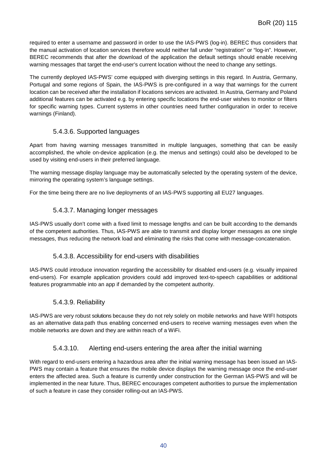required to enter a username and password in order to use the IAS-PWS (log-in). BEREC thus considers that the manual activation of location services therefore would neither fall under "registration" or "log-in". However, BEREC recommends that after the download of the application the default settings should enable receiving warning messages that target the end-user's current location without the need to change any settings.

The currently deployed IAS-PWS' come equipped with diverging settings in this regard. In Austria, Germany, Portugal and some regions of Spain, the IAS-PWS is pre-configured in a way that warnings for the current location can be received after the installation if locations services are activated. In Austria, Germany and Poland additional features can be activated e.g. by entering specific locations the end-user wishes to monitor or filters for specific warning types. Current systems in other countries need further configuration in order to receive warnings (Finland).

### 5.4.3.6. Supported languages

Apart from having warning messages transmitted in multiple languages, something that can be easily accomplished, the whole on-device application (e.g. the menus and settings) could also be developed to be used by visiting end-users in their preferred language.

The warning message display language may be automatically selected by the operating system of the device, mirroring the operating system's language settings.

For the time being there are no live deployments of an IAS-PWS supporting all EU27 languages.

### 5.4.3.7. Managing longer messages

IAS-PWS usually don't come with a fixed limit to message lengths and can be built according to the demands of the competent authorities. Thus, IAS-PWS are able to transmit and display longer messages as one single messages, thus reducing the network load and eliminating the risks that come with message-concatenation.

### 5.4.3.8. Accessibility for end-users with disabilities

IAS-PWS could introduce innovation regarding the accessibility for disabled end-users (e.g. visually impaired end-users). For example application providers could add improved text-to-speech capabilities or additional features programmable into an app if demanded by the competent authority.

### 5.4.3.9. Reliability

IAS-PWS are very robust solutions because they do not rely solely on mobile networks and have WIFI hotspots as an alternative data path thus enabling concerned end-users to receive warning messages even when the mobile networks are down and they are within reach of a WiFi.

### 5.4.3.10. Alerting end-users entering the area after the initial warning

With regard to end-users entering a hazardous area after the initial warning message has been issued an IAS-PWS may contain a feature that ensures the mobile device displays the warning message once the end-user enters the affected area. Such a feature is currently under construction for the German IAS-PWS and will be implemented in the near future. Thus, BEREC encourages competent authorities to pursue the implementation of such a feature in case they consider rolling-out an IAS-PWS.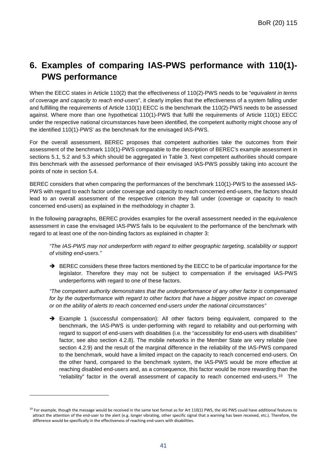# <span id="page-41-0"></span>**6. Examples of comparing IAS-PWS performance with 110(1)- PWS performance**

When the EECC states in Article 110(2) that the effectiveness of 110(2)-PWS needs to be "*equivalent in terms of coverage and capacity to reach end-users*", it clearly implies that the effectiveness of a system falling under and fulfilling the requirements of Article 110(1) EECC is the benchmark the 110(2)-PWS needs to be assessed against. Where more than one hypothetical 110(1)-PWS that fulfil the requirements of Article 110(1) EECC under the respective national circumstances have been identified, the competent authority might choose any of the identified 110(1)-PWS' as the benchmark for the envisaged IAS-PWS.

For the overall assessment, BEREC proposes that competent authorities take the outcomes from their assessment of the benchmark 110(1)-PWS comparable to the description of BEREC's example assessment in sections [5.1,](#page-26-1) [5.2](#page-30-0) and [5.3](#page-34-0) which should be aggregated in Table 3. Next competent authorities should compare this benchmark with the assessed performance of their envisaged IAS-PWS possibly taking into account the points of note in section [5.4.](#page-37-0)

BEREC considers that when comparing the performances of the benchmark 110(1)-PWS to the assessed IAS-PWS with regard to each factor under coverage and capacity to reach concerned end-users, the factors should lead to an overall assessment of the respective criterion they fall under (coverage or capacity to reach concerned end-users) as explained in the methodology in chapter [3.](#page-17-0)

In the following paragraphs, BEREC provides examples for the overall assessment needed in the equivalence assessment in case the envisaged IAS-PWS fails to be equivalent to the performance of the benchmark with regard to at least one of the non-binding factors as explained in chapter [3:](#page-17-0)

*"The IAS-PWS may not underperform with regard to either geographic targeting, scalability or support of visiting end-users."*

 $\rightarrow$  BEREC considers these three factors mentioned by the EECC to be of particular importance for the legislator. Therefore they may not be subject to compensation if the envisaged IAS-PWS underperforms with regard to one of these factors.

*"The competent authority demonstrates that the underperformance of any other factor is compensated for by the outperformance with regard to other factors that have a bigger positive impact on coverage or on the ability of alerts to reach concerned end-users under the national circumstances"*

 Example 1 (successful compensation): All other factors being equivalent, compared to the benchmark, the IAS-PWS is under-performing with regard to reliability and out-performing with regard to support of end-users with disabilities (i.e. the "accessibility for end-users with disabilities" factor, see also section [4.2.8\)](#page-24-0). The mobile networks in the Member State are very reliable (see section [4.2.9\)](#page-24-1) and the result of the marginal difference in the reliability of the IAS-PWS compared to the benchmark, would have a limited impact on the capacity to reach concerned end-users. On the other hand, compared to the benchmark system, the IAS-PWS would be more effective at reaching disabled end-users and, as a consequence, this factor would be more rewarding than the "reliability" factor in the overall assessment of capacity to reach concerned end-users.[19](#page-41-1) The

-

<span id="page-41-1"></span><sup>&</sup>lt;sup>19</sup> For example, though the message would be received in the same text format as for Art 110(1) PWS, the IAS PWS could have additional features to attract the attention of the end-user to the alert (e.g. longer vibrating, other specific signal that a warning has been received, etc.). Therefore, the difference would be specifically in the effectiveness of reaching end-users with disabilities.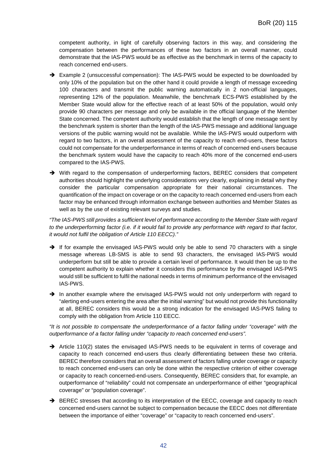competent authority, in light of carefully observing factors in this way, and considering the compensation between the performances of these two factors in an overall manner, could demonstrate that the IAS-PWS would be as effective as the benchmark in terms of the capacity to reach concerned end-users.

- → Example 2 (unsuccessful compensation): The IAS-PWS would be expected to be downloaded by only 10% of the population but on the other hand it could provide a length of message exceeding 100 characters and transmit the public warning automatically in 2 non-official languages, representing 12% of the population. Meanwhile, the benchmark ECS-PWS established by the Member State would allow for the effective reach of at least 50% of the population, would only provide 90 characters per message and only be available in the official language of the Member State concerned. The competent authority would establish that the length of one message sent by the benchmark system is shorter than the length of the IAS-PWS message and additional language versions of the public warning would not be available. While the IAS-PWS would outperform with regard to two factors, in an overall assessment of the capacity to reach end-users, these factors could not compensate for the underperformance in terms of reach of concerned end-users because the benchmark system would have the capacity to reach 40% more of the concerned end-users compared to the IAS-PWS.
- → With regard to the compensation of underperforming factors, BEREC considers that competent authorities should highlight the underlying considerations very clearly, explaining in detail why they consider the particular compensation appropriate for their national circumstances. The quantification of the impact on coverage or on the capacity to reach concerned end-users from each factor may be enhanced through information exchange between authorities and Member States as well as by the use of existing relevant surveys and studies.

*"The IAS-PWS still provides a sufficient level of performance according to the Member State with regard*  to the underperforming factor (i.e. if it would fail to provide any performance with regard to that factor, *it would not fulfil the obligation of Article 110 EECC)."*

- $\rightarrow$  If for example the envisaged IAS-PWS would only be able to send 70 characters with a single message whereas LB-SMS is able to send 93 characters, the envisaged IAS-PWS would underperform but still be able to provide a certain level of performance. It would then be up to the competent authority to explain whether it considers this performance by the envisaged IAS-PWS would still be sufficient to fulfil the national needs in terms of minimum performance of the envisaged IAS-PWS.
- $\rightarrow$  In another example where the envisaged IAS-PWS would not only underperform with regard to "alerting end-users entering the area after the initial warning" but would not provide this functionality at all, BEREC considers this would be a strong indication for the envisaged IAS-PWS failing to comply with the obligation from Article 110 EECC.

*"It is not possible to compensate the underperformance of a factor falling under "coverage" with the outperformance of a factor falling under "capacity to reach concerned end-users".*

- $\rightarrow$  Article 110(2) states the envisaged IAS-PWS needs to be equivalent in terms of coverage and capacity to reach concerned end-users thus clearly differentiating between these two criteria. BEREC therefore considers that an overall assessment of factors falling under coverage or capacity to reach concerned end-users can only be done within the respective criterion of either coverage or capacity to reach concerned-end-users. Consequently, BEREC considers that, for example, an outperformance of "reliability" could not compensate an underperformance of either "geographical coverage" or "population coverage".
- → BEREC stresses that according to its interpretation of the EECC, coverage and capacity to reach concerned end-users cannot be subject to compensation because the EECC does not differentiate between the importance of either "coverage" or "capacity to reach concerned end-users".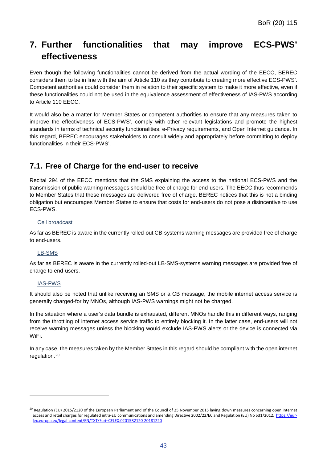# <span id="page-43-0"></span>**7. Further functionalities that may improve ECS-PWS' effectiveness**

Even though the following functionalities cannot be derived from the actual wording of the EECC, BEREC considers them to be in line with the aim of Article 110 as they contribute to creating more effective ECS-PWS'. Competent authorities could consider them in relation to their specific system to make it more effective, even if these functionalities could not be used in the equivalence assessment of effectiveness of IAS-PWS according to Article 110 EECC.

It would also be a matter for Member States or competent authorities to ensure that any measures taken to improve the effectiveness of ECS-PWS', comply with other relevant legislations and promote the highest standards in terms of technical security functionalities, e-Privacy requirements, and Open Internet guidance. In this regard, BEREC encourages stakeholders to consult widely and appropriately before committing to deploy functionalities in their ECS-PWS'.

# <span id="page-43-1"></span>**7.1. Free of Charge for the end-user to receive**

Recital 294 of the EECC mentions that the SMS explaining the access to the national ECS-PWS and the transmission of public warning messages should be free of charge for end-users. The EECC thus recommends to Member States that these messages are delivered free of charge. BEREC notices that this is not a binding obligation but encourages Member States to ensure that costs for end-users do not pose a disincentive to use ECS-PWS.

#### Cell broadcast

As far as BEREC is aware in the currently rolled-out CB-systems warning messages are provided free of charge to end-users.

#### LB-SMS

As far as BEREC is aware in the currently rolled-out LB-SMS-systems warning messages are provided free of charge to end-users.

#### IAS-PWS

-

It should also be noted that unlike receiving an SMS or a CB message, the mobile internet access service is generally charged-for by MNOs, although IAS-PWS warnings might not be charged.

In the situation where a user's data bundle is exhausted, different MNOs handle this in different ways, ranging from the throttling of internet access service traffic to entirely blocking it. In the latter case, end-users will not receive warning messages unless the blocking would exclude IAS-PWS alerts or the device is connected via WiFi.

In any case, the measures taken by the Member States in this regard should be compliant with the open internet regulation.[20](#page-43-2)

<span id="page-43-2"></span> $^{20}$  Regulation (EU) 2015/2120 of the European Parliament and of the Council of 25 November 2015 laying down measures concerning open internet access and retail charges for regulated intra-EU communications and amending Directive 2002/22/EC and Regulation (EU) No 531/2012, [https://eur](https://eur-lex.europa.eu/legal-content/EN/TXT/?uri=CELEX:02015R2120-20181220)[lex.europa.eu/legal-content/EN/TXT/?uri=CELEX:02015R2120-20181220](https://eur-lex.europa.eu/legal-content/EN/TXT/?uri=CELEX:02015R2120-20181220)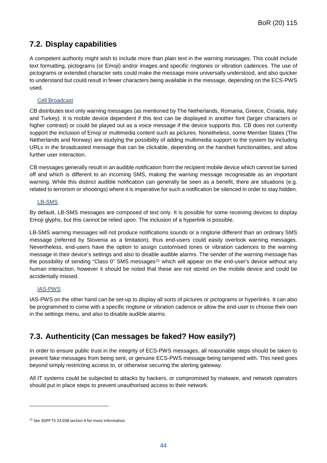# <span id="page-44-0"></span>**7.2. Display capabilities**

A competent authority might wish to include more than plain text in the warning messages. This could include text formatting, pictograms (or Emoji) and/or images and specific ringtones or vibration cadences. The use of pictograms or extended character sets could make the message more universally understood, and also quicker to understand but could result in fewer characters being available in the message, depending on the ECS-PWS used.

#### Cell Broadcast

CB distributes text only warning messages (as mentioned by The Netherlands, Romania, Greece, Croatia, Italy and Turkey). It is mobile device dependent if this text can be displayed in another font (larger characters or higher contrast) or could be played out as a voice message if the device supports this. CB does not currently support the inclusion of Emoji or multimedia content such as pictures. Nonetheless, some Member States (The Netherlands and Norway) are studying the possibility of adding multimedia support to the system by including URLs in the broadcasted message that can be clickable, depending on the handset functionalities, and allow further user interaction.

CB messages generally result in an audible notification from the recipient mobile device which cannot be turned off and which is different to an incoming SMS, making the warning message recognisable as an important warning. While this distinct audible notification can generally be seen as a benefit, there are situations (e.g. related to terrorism or shootings) where it is imperative for such a notification be silenced in order to stay hidden.

#### LB-SMS

By default, LB-SMS messages are composed of text only. It is possible for some receiving devices to display Emoji glyphs, but this cannot be relied upon. The inclusion of a hyperlink is possible.

LB-SMS warning messages will not produce notifications sounds or a ringtone different than an ordinary SMS message (referred by Slovenia as a limitation), thus end-users could easily overlook warning messages. Nevertheless, end-users have the option to assign customised tones or vibration cadences to the warning message in their device's settings and also to disable audible alarms. The sender of the warning message has the possibility of sending "Class 0" SMS messages<sup>[21](#page-44-2)</sup> which will appear on the end-user's device without any human interaction, however it should be noted that these are not stored on the mobile device and could be accidentally missed.

### IAS-PWS

-

IAS-PWS on the other hand can be set-up to display all sorts of pictures or pictograms or hyperlinks. It can also be programmed to come with a specific ringtone or vibration cadence or allow the end-user to choose their own in the settings menu, and also to disable audible alarms.

# <span id="page-44-1"></span>**7.3. Authenticity (Can messages be faked? How easily?)**

In order to ensure public trust in the integrity of ECS-PWS messages, all reasonable steps should be taken to prevent fake messages from being sent, or genuine ECS-PWS message being tampered with. This need goes beyond simply restricting access to, or otherwise securing the alerting gateway.

All IT systems could be subjected to attacks by hackers, or compromised by malware, and network operators should put in place steps to prevent unauthorised access to their network.

<span id="page-44-2"></span><sup>21</sup> See 3GPP TS 23.038 section 4 for more information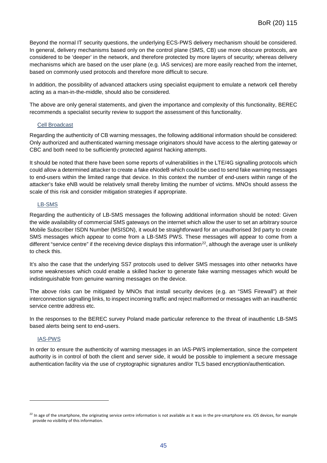Beyond the normal IT security questions, the underlying ECS-PWS delivery mechanism should be considered. In general, delivery mechanisms based only on the control plane (SMS, CB) use more obscure protocols, are considered to be 'deeper' in the network, and therefore protected by more layers of security; whereas delivery mechanisms which are based on the user plane (e.g. IAS services) are more easily reached from the internet, based on commonly used protocols and therefore more difficult to secure.

In addition, the possibility of advanced attackers using specialist equipment to emulate a network cell thereby acting as a man-in-the-middle, should also be considered.

The above are only general statements, and given the importance and complexity of this functionality, BEREC recommends a specialist security review to support the assessment of this functionality.

#### Cell Broadcast

Regarding the authenticity of CB warning messages, the following additional information should be considered: Only authorized and authenticated warning message originators should have access to the alerting gateway or CBC and both need to be sufficiently protected against hacking attempts.

It should be noted that there have been some reports of vulnerabilities in the LTE/4G signalling protocols which could allow a determined attacker to create a fake eNodeB which could be used to send fake warning messages to end-users within the limited range that device. In this context the number of end-users within range of the attacker's fake eNB would be relatively small thereby limiting the number of victims. MNOs should assess the scale of this risk and consider mitigation strategies if appropriate.

#### LB-SMS

Regarding the authenticity of LB-SMS messages the following additional information should be noted: Given the wide availability of commercial SMS gateways on the internet which allow the user to set an arbitrary source Mobile Subscriber ISDN Number (MSISDN), it would be straightforward for an unauthorised 3rd party to create SMS messages which appear to come from a LB-SMS PWS. These messages will appear to come from a different "service centre" if the receiving device displays this information<sup>[22](#page-45-0)</sup>, although the average user is unlikely to check this.

It's also the case that the underlying SS7 protocols used to deliver SMS messages into other networks have some weaknesses which could enable a skilled hacker to generate fake warning messages which would be indistinguishable from genuine warning messages on the device.

The above risks can be mitigated by MNOs that install security devices (e.g. an "SMS Firewall") at their interconnection signalling links, to inspect incoming traffic and reject malformed or messages with an inauthentic service centre address etc.

In the responses to the BEREC survey Poland made particular reference to the threat of inauthentic LB-SMS based alerts being sent to end-users.

#### IAS-PWS

-

In order to ensure the authenticity of warning messages in an IAS-PWS implementation, since the competent authority is in control of both the client and server side, it would be possible to implement a secure message authentication facility via the use of cryptographic signatures and/or TLS based encryption/authentication.

<span id="page-45-0"></span> $^{22}$  In age of the smartphone, the originating service centre information is not available as it was in the pre-smartphone era. iOS devices, for example provide no visibility of this information.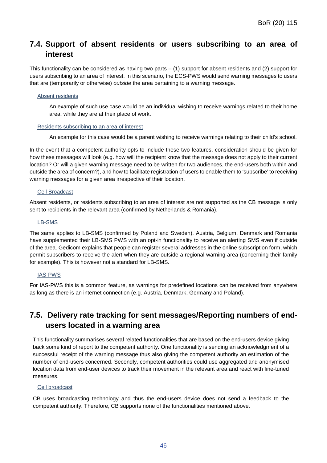# <span id="page-46-0"></span>**7.4. Support of absent residents or users subscribing to an area of interest**

This functionality can be considered as having two parts  $-$  (1) support for absent residents and (2) support for users subscribing to an area of interest. In this scenario, the ECS-PWS would send warning messages to users that are (temporarily or otherwise) *outside* the area pertaining to a warning message.

#### Absent residents

An example of such use case would be an individual wishing to receive warnings related to their home area, while they are at their place of work.

#### Residents subscribing to an area of interest

An example for this case would be a parent wishing to receive warnings relating to their child's school.

In the event that a competent authority opts to include these two features, consideration should be given for how these messages will look (e.g. how will the recipient know that the message does not apply to their current location? Or will a given warning message need to be written for two audiences, the end-users both within and outside the area of concern?), and how to facilitate registration of users to enable them to 'subscribe' to receiving warning messages for a given area irrespective of their location.

#### Cell Broadcast

Absent residents, or residents subscribing to an area of interest are not supported as the CB message is only sent to recipients in the relevant area (confirmed by Netherlands & Romania).

#### LB-SMS

The same applies to LB-SMS (confirmed by Poland and Sweden). Austria, Belgium, Denmark and Romania have supplemented their LB-SMS PWS with an opt-in functionality to receive an alerting SMS even if outside of the area. Gedicom explains that people can register several addresses in the online subscription form, which permit subscribers to receive the alert when they are outside a regional warning area (concerning their family for example). This is however not a standard for LB-SMS.

#### IAS-PWS

For IAS-PWS this is a common feature, as warnings for predefined locations can be received from anywhere as long as there is an internet connection (e.g. Austria, Denmark, Germany and Poland).

# <span id="page-46-1"></span>**7.5. Delivery rate tracking for sent messages/Reporting numbers of endusers located in a warning area**

This functionality summarises several related functionalities that are based on the end-users device giving back some kind of report to the competent authority. One functionality is sending an acknowledgment of a successful receipt of the warning message thus also giving the competent authority an estimation of the number of end-users concerned. Secondly, competent authorities could use aggregated and anonymised location data from end-user devices to track their movement in the relevant area and react with fine-tuned measures.

#### Cell broadcast

CB uses broadcasting technology and thus the end-users device does not send a feedback to the competent authority. Therefore, CB supports none of the functionalities mentioned above.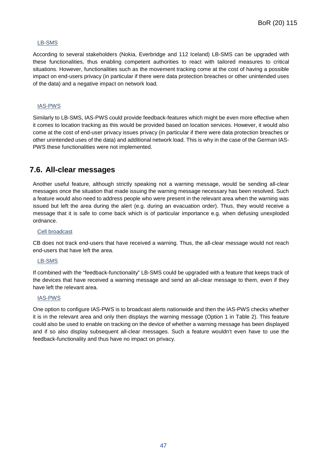#### LB-SMS

According to several stakeholders (Nokia, Everbridge and 112 Iceland) LB-SMS can be upgraded with these functionalities, thus enabling competent authorities to react with tailored measures to critical situations. However, functionalities such as the movement tracking come at the cost of having a possible impact on end-users privacy (in particular if there were data protection breaches or other unintended uses of the data) and a negative impact on network load.

#### IAS-PWS

Similarly to LB-SMS, IAS-PWS could provide feedback-features which might be even more effective when it comes to location tracking as this would be provided based on location services. However, it would also come at the cost of end-user privacy issues privacy (in particular if there were data protection breaches or other unintended uses of the data) and additional network load. This is why in the case of the German IAS-PWS these functionalities were not implemented.

# <span id="page-47-0"></span>**7.6. All-clear messages**

Another useful feature, although strictly speaking not a warning message, would be sending all-clear messages once the situation that made issuing the warning message necessary has been resolved. Such a feature would also need to address people who were present in the relevant area when the warning was issued but left the area during the alert (e.g. during an evacuation order). Thus, they would receive a message that it is safe to come back which is of particular importance e.g. when defusing unexploded ordnance.

#### Cell broadcast

CB does not track end-users that have received a warning. Thus, the all-clear message would not reach end-users that have left the area.

#### LB-SMS

If combined with the "feedback-functionality" LB-SMS could be upgraded with a feature that keeps track of the devices that have received a warning message and send an all-clear message to them, even if they have left the relevant area.

#### IAS-PWS

One option to configure IAS-PWS is to broadcast alerts nationwide and then the IAS-PWS checks whether it is in the relevant area and only then displays the warning message (Option 1 in Table 2). This feature could also be used to enable on tracking on the device of whether a warning message has been displayed and if so also display subsequent all-clear messages. Such a feature wouldn't even have to use the feedback-functionality and thus have no impact on privacy.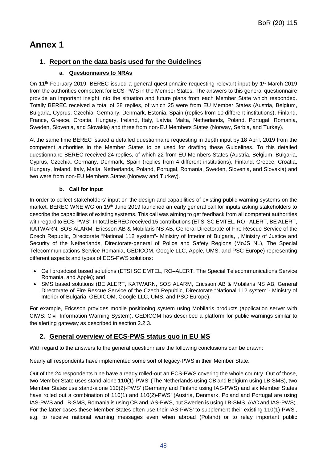# <span id="page-48-0"></span>**Annex 1**

### **1. Report on the data basis used for the Guidelines**

#### **a. Questionnaires to NRAs**

On 11<sup>th</sup> February 2019, BEREC issued a general questionnaire requesting relevant input by 1<sup>st</sup> March 2019 from the authorities competent for ECS-PWS in the Member States. The answers to this general questionnaire provide an important insight into the situation and future plans from each Member State which responded. Totally BEREC received a total of 28 replies, of which 25 were from EU Member States (Austria, Belgium, Bulgaria, Cyprus, Czechia, Germany, Denmark, Estonia, Spain (replies from 10 different institutions), Finland, France, Greece, Croatia, Hungary, Ireland, Italy, Latvia, Malta, Netherlands, Poland, Portugal, Romania, Sweden, Slovenia, and Slovakia) and three from non-EU Members States (Norway, Serbia, and Turkey).

At the same time BEREC issued a detailed questionnaire requesting in depth input by 18 April, 2019 from the competent authorities in the Member States to be used for drafting these Guidelines. To this detailed questionnaire BEREC received 24 replies, of which 22 from EU Members States (Austria, Belgium, Bulgaria, Cyprus, Czechia, Germany, Denmark, Spain (replies from 4 different institutions), Finland, Greece, Croatia, Hungary, Ireland, Italy, Malta, Netherlands, Poland, Portugal, Romania, Sweden, Slovenia, and Slovakia) and two were from non-EU Members States (Norway and Turkey).

#### **b. Call for input**

In order to collect stakeholders' input on the design and capabilities of existing public warning systems on the market, BEREC WNE WG on 19th June 2019 launched an early general call for inputs asking stakeholders to describe the capabilities of existing systems. This call was aiming to get feedback from all competent authorities with regard to ECS-PWS'. In total BEREC received 15 contributions (ETSI SC EMTEL, RO - ALERT, BE ALERT, KATWARN, SOS ALARM, Ericsson AB & Mobilaris NS AB, General Directorate of Fire Rescue Service of the Czech Republic, Directorate "National 112 system"- Ministry of Interior of Bulgaria, , Ministry of Justice and Security of the Netherlands, Directorate-general of Police and Safety Regions (MoJS NL), The Special Telecommunications Service Romania, GEDICOM, Google LLC, Apple, UMS, and PSC Europe) representing different aspects and types of ECS-PWS solutions:

- Cell broadcast based solutions (ETSI SC EMTEL, RO–ALERT, The Special Telecommunications Service Romania, and Apple); and
- SMS based solutions (BE ALERT, KATWARN, SOS ALARM, Ericsson AB & Mobilaris NS AB, General Directorate of Fire Rescue Service of the Czech Republic, Directorate "National 112 system"- Ministry of Interior of Bulgaria, GEDICOM, Google LLC, UMS, and PSC Europe).

For example, Ericsson provides mobile positioning system using Mobilaris products (application server with CIWS: Civil Information Warning System). GEDICOM has described a platform for public warnings similar to the alerting gateway as described in section [2.2.3.](#page-11-0)

### **2. General overview of ECS-PWS status quo in EU MS**

With regard to the answers to the general questionnaire the following conclusions can be drawn:

Nearly all respondents have implemented some sort of legacy-PWS in their Member State.

Out of the 24 respondents nine have already rolled-out an ECS-PWS covering the whole country. Out of those, two Member State uses stand-alone 110(1)-PWS' (The Netherlands using CB and Belgium using LB-SMS), two Member States use stand-alone 110(2)-PWS' (Germany and Finland using IAS-PWS) and six Member States have rolled out a combination of 110(1) and 110(2)-PWS' (Austria, Denmark, Poland and Portugal are using IAS-PWS and LB-SMS, Romania is using CB and IAS-PWS, but Sweden is using LB-SMS, AVC and IAS-PWS). For the latter cases these Member States often use their IAS-PWS' to supplement their existing 110(1)-PWS', e.g. to receive national warning messages even when abroad (Poland) or to relay important public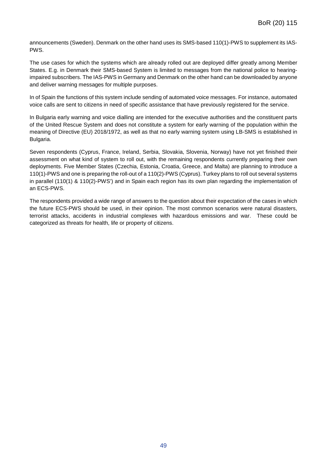announcements (Sweden). Denmark on the other hand uses its SMS-based 110(1)-PWS to supplement its IAS-PWS.

The use cases for which the systems which are already rolled out are deployed differ greatly among Member States. E.g. in Denmark their SMS-based System is limited to messages from the national police to hearingimpaired subscribers. The IAS-PWS in Germany and Denmark on the other hand can be downloaded by anyone and deliver warning messages for multiple purposes.

In of Spain the functions of this system include sending of automated voice messages. For instance, automated voice calls are sent to citizens in need of specific assistance that have previously registered for the service.

In Bulgaria early warning and voice dialling are intended for the executive authorities and the constituent parts of the United Rescue System and does not constitute a system for early warning of the population within the meaning of Directive (EU) 2018/1972, as well as that no early warning system using LB-SMS is established in Bulgaria.

Seven respondents (Cyprus, France, Ireland, Serbia, Slovakia, Slovenia, Norway) have not yet finished their assessment on what kind of system to roll out, with the remaining respondents currently preparing their own deployments. Five Member States (Czechia, Estonia, Croatia, Greece, and Malta) are planning to introduce a 110(1)-PWS and one is preparing the roll-out of a 110(2)-PWS (Cyprus). Turkey plans to roll out several systems in parallel (110(1) & 110(2)-PWS') and in Spain each region has its own plan regarding the implementation of an ECS-PWS.

The respondents provided a wide range of answers to the question about their expectation of the cases in which the future ECS-PWS should be used, in their opinion. The most common scenarios were natural disasters, terrorist attacks, accidents in industrial complexes with hazardous emissions and war. These could be categorized as threats for health, life or property of citizens.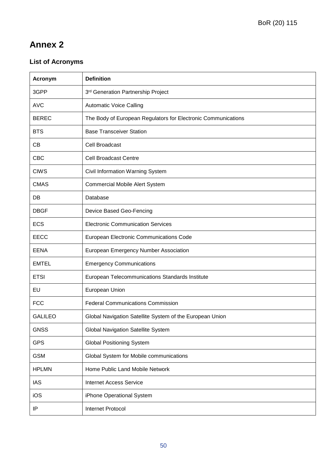# <span id="page-50-0"></span>**Annex 2**

# **List of Acronyms**

| Acronym        | <b>Definition</b>                                             |
|----------------|---------------------------------------------------------------|
| 3GPP           | 3rd Generation Partnership Project                            |
| <b>AVC</b>     | <b>Automatic Voice Calling</b>                                |
| <b>BEREC</b>   | The Body of European Regulators for Electronic Communications |
| <b>BTS</b>     | <b>Base Transceiver Station</b>                               |
| CB             | Cell Broadcast                                                |
| <b>CBC</b>     | <b>Cell Broadcast Centre</b>                                  |
| <b>CIWS</b>    | Civil Information Warning System                              |
| <b>CMAS</b>    | <b>Commercial Mobile Alert System</b>                         |
| DB             | Database                                                      |
| <b>DBGF</b>    | Device Based Geo-Fencing                                      |
| <b>ECS</b>     | <b>Electronic Communication Services</b>                      |
| <b>EECC</b>    | European Electronic Communications Code                       |
| <b>EENA</b>    | European Emergency Number Association                         |
| <b>EMTEL</b>   | <b>Emergency Communications</b>                               |
| <b>ETSI</b>    | European Telecommunications Standards Institute               |
| EU             | European Union                                                |
| <b>FCC</b>     | <b>Federal Communications Commission</b>                      |
| <b>GALILEO</b> | Global Navigation Satellite System of the European Union      |
| <b>GNSS</b>    | Global Navigation Satellite System                            |
| <b>GPS</b>     | <b>Global Positioning System</b>                              |
| <b>GSM</b>     | Global System for Mobile communications                       |
| <b>HPLMN</b>   | Home Public Land Mobile Network                               |
| <b>IAS</b>     | <b>Internet Access Service</b>                                |
| iOS            | iPhone Operational System                                     |
| IP             | Internet Protocol                                             |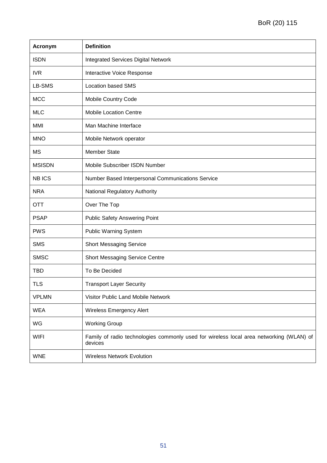| Acronym       | <b>Definition</b>                                                                                  |
|---------------|----------------------------------------------------------------------------------------------------|
| <b>ISDN</b>   | <b>Integrated Services Digital Network</b>                                                         |
| <b>IVR</b>    | Interactive Voice Response                                                                         |
| LB-SMS        | <b>Location based SMS</b>                                                                          |
| <b>MCC</b>    | Mobile Country Code                                                                                |
| <b>MLC</b>    | <b>Mobile Location Centre</b>                                                                      |
| MMI           | Man Machine Interface                                                                              |
| <b>MNO</b>    | Mobile Network operator                                                                            |
| <b>MS</b>     | <b>Member State</b>                                                                                |
| <b>MSISDN</b> | Mobile Subscriber ISDN Number                                                                      |
| <b>NBICS</b>  | Number Based Interpersonal Communications Service                                                  |
| <b>NRA</b>    | National Regulatory Authority                                                                      |
| <b>OTT</b>    | Over The Top                                                                                       |
| <b>PSAP</b>   | <b>Public Safety Answering Point</b>                                                               |
| <b>PWS</b>    | <b>Public Warning System</b>                                                                       |
| <b>SMS</b>    | <b>Short Messaging Service</b>                                                                     |
| <b>SMSC</b>   | <b>Short Messaging Service Centre</b>                                                              |
| <b>TBD</b>    | To Be Decided                                                                                      |
| <b>TLS</b>    | <b>Transport Layer Security</b>                                                                    |
| <b>VPLMN</b>  | Visitor Public Land Mobile Network                                                                 |
| <b>WEA</b>    | <b>Wireless Emergency Alert</b>                                                                    |
| WG            | <b>Working Group</b>                                                                               |
| <b>WIFI</b>   | Family of radio technologies commonly used for wireless local area networking (WLAN) of<br>devices |
| <b>WNE</b>    | <b>Wireless Network Evolution</b>                                                                  |